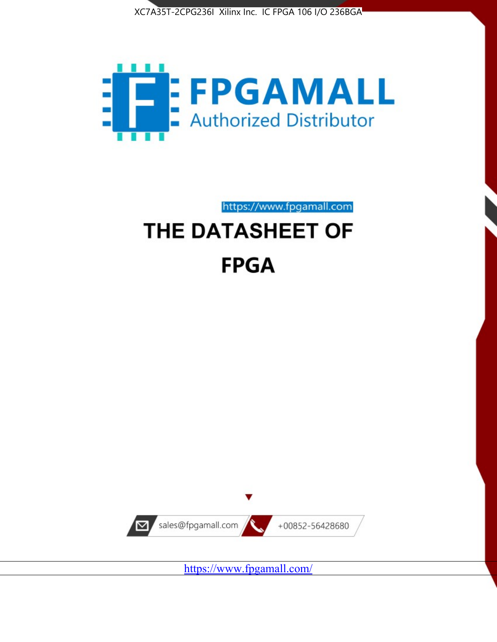



https://www.fpgamall.com THE DATASHEET OF

# **FPGA**



<https://www.fpgamall.com/>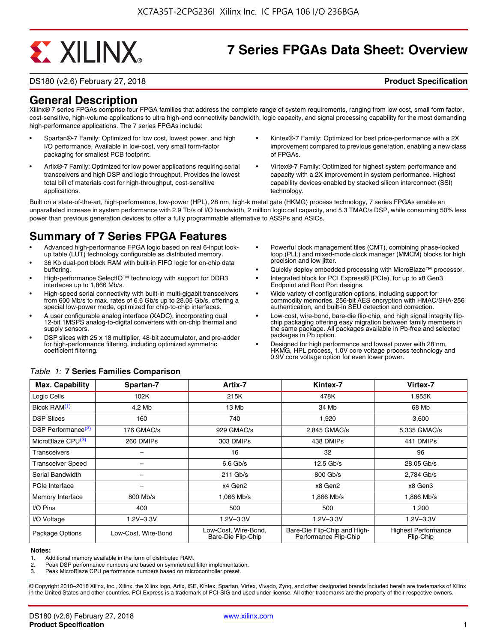# **EXALINX**

## **7 Series FPGAs Data Sheet: Overview**

DS180 (v2.6) February 27, 2018 **Product Specification**

#### **General Description**

Xilinx® 7 series FPGAs comprise four FPGA families that address the complete range of system requirements, ranging from low cost, small form factor, cost-sensitive, high-volume applications to ultra high-end connectivity bandwidth, logic capacity, and signal processing capability for the most demanding high-performance applications. The 7 series FPGAs include:

- Spartan®-7 Family: Optimized for low cost, lowest power, and high I/O performance. Available in low-cost, very small form-factor packaging for smallest PCB footprint.
- Artix®-7 Family: Optimized for low power applications requiring serial transceivers and high DSP and logic throughput. Provides the lowest total bill of materials cost for high-throughput, cost-sensitive applications.
- Kintex®-7 Family: Optimized for best price-performance with a 2X improvement compared to previous generation, enabling a new class of FPGAs.
- Virtex®-7 Family: Optimized for highest system performance and capacity with a 2X improvement in system performance. Highest capability devices enabled by stacked silicon interconnect (SSI) technology

Built on a state-of-the-art, high-performance, low-power (HPL), 28 nm, high-k metal gate (HKMG) process technology, 7 series FPGAs enable an unparalleled increase in system performance with 2.9 Tb/s of I/O bandwidth, 2 million logic cell capacity, and 5.3 TMAC/s DSP, while consuming 50% less power than previous generation devices to offer a fully programmable alternative to ASSPs and ASICs.

### **Summary of 7 Series FPGA Features**

- Advanced high-performance FPGA logic based on real 6-input lookup table (LUT) technology configurable as distributed memory.
- 36 Kb dual-port block RAM with built-in FIFO logic for on-chip data buffering.
- High-performance SelectIO™ technology with support for DDR3 interfaces up to 1,866 Mb/s.
- High-speed serial connectivity with built-in multi-gigabit transceivers from 600 Mb/s to max. rates of 6.6 Gb/s up to 28.05 Gb/s, offering a special low-power mode, optimized for chip-to-chip interfaces.
- A user configurable analog interface (XADC), incorporating dual 12-bit 1MSPS analog-to-digital converters with on-chip thermal and supply sensors.
- DSP slices with 25 x 18 multiplier, 48-bit accumulator, and pre-adder for high-performance filtering, including optimized symmetric coefficient filtering.
- Powerful clock management tiles (CMT), combining phase-locked loop (PLL) and mixed-mode clock manager (MMCM) blocks for high precision and low jitter.
- Quickly deploy embedded processing with MicroBlaze™ processor.
- Integrated block for PCI Express® (PCIe), for up to x8 Gen3 Endpoint and Root Port designs.
- Wide variety of configuration options, including support for commodity memories, 256-bit AES encryption with HMAC/SHA-256 authentication, and built-in SEU detection and correction.
- Low-cost, wire-bond, bare-die flip-chip, and high signal integrity flipchip packaging offering easy migration between family members in the same package. All packages available in Pb-free and selected packages in Pb option.
- Designed for high performance and lowest power with 28 nm, HKMG, HPL process, 1.0V core voltage process technology and 0.9V core voltage option for even lower power.

| <b>Max. Capability</b>         | Spartan-7           | Artix-7                                    | Kintex-7                                              | Virtex-7                                |
|--------------------------------|---------------------|--------------------------------------------|-------------------------------------------------------|-----------------------------------------|
| Logic Cells                    | 102K                | 215K                                       | 478K                                                  | 1,955K                                  |
| Block RAM <sup>(1)</sup>       | 4.2 Mb              | 13 Mb                                      | 34 Mb                                                 | 68 Mb                                   |
| <b>DSP Slices</b>              | 160                 | 740                                        | 1,920                                                 | 3,600                                   |
| DSP Performance <sup>(2)</sup> | 176 GMAC/s          | 929 GMAC/s                                 | 2,845 GMAC/s                                          | 5,335 GMAC/s                            |
| MicroBlaze CPU <sup>(3)</sup>  | 260 DMIPs           | 303 DMIPs                                  | 438 DMIPs                                             | 441 DMIPs                               |
| Transceivers                   |                     | 16                                         | 32                                                    | 96                                      |
| <b>Transceiver Speed</b>       |                     | $6.6$ Gb/s                                 | $12.5$ Gb/s                                           | 28.05 Gb/s                              |
| Serial Bandwidth               |                     | $211$ Gb/s                                 | 800 Gb/s                                              | 2,784 Gb/s                              |
| PCIe Interface                 | -                   | x4 Gen2                                    | x8 Gen2                                               | x8 Gen3                                 |
| Memory Interface               | $800$ Mb/s          | 1.066 Mb/s                                 | 1.866 Mb/s                                            | 1.866 Mb/s                              |
| I/O Pins                       | 400                 | 500                                        | 500                                                   | 1,200                                   |
| I/O Voltage                    | $1.2V - 3.3V$       | $1.2V - 3.3V$                              | $1.2V - 3.3V$                                         | $1.2V - 3.3V$                           |
| Package Options                | Low-Cost, Wire-Bond | Low-Cost, Wire-Bond,<br>Bare-Die Flip-Chip | Bare-Die Flip-Chip and High-<br>Performance Flip-Chip | <b>Highest Performance</b><br>Flip-Chip |

#### *Table 1:* **7 Series Families Comparison**

#### **Notes:**

2. Peak DSP performance numbers are based on symmetrical filter implementation.<br>3. Peak MicroBlaze CPU performance numbers based on microcontroller preset.

Peak MicroBlaze CPU performance numbers based on microcontroller preset.

© Copyright 2010–2018 Xilinx, Inc., Xilinx, the Xilinx logo, Artix, ISE, Kintex, Spartan, Virtex, Vivado, Zynq, and other designated brands included herein are trademarks of Xilinx in the United States and other countries. PCI Express is a trademark of PCI-SIG and used under license. All other trademarks are the property of their respective owners.

<sup>1.</sup> Additional memory available in the form of distributed RAM.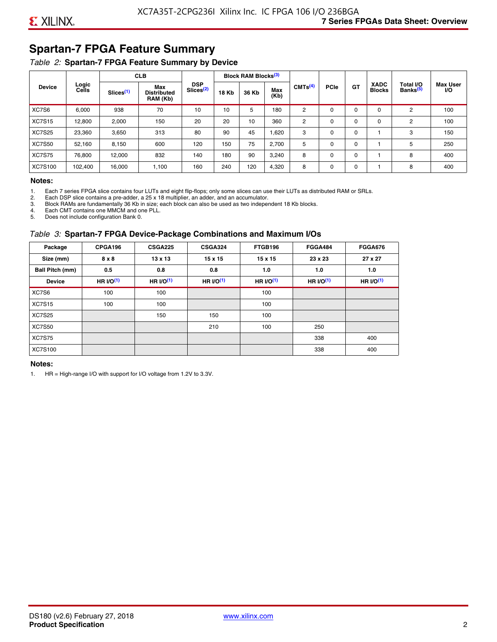### **Spartan-7 FPGA Feature Summary**

#### *Table 2:* **Spartan-7 FPGA Feature Summary by Device**

|               |                |                       | <b>CLB</b>                            |                                     |              | <b>Block RAM Blocks</b> <sup>(3)</sup> |             |                     |             |             |                              |                                   |                              |
|---------------|----------------|-----------------------|---------------------------------------|-------------------------------------|--------------|----------------------------------------|-------------|---------------------|-------------|-------------|------------------------------|-----------------------------------|------------------------------|
| <b>Device</b> | Logic<br>Cells | Slices <sup>(1)</sup> | Max<br><b>Distributed</b><br>RAM (Kb) | <b>DSP</b><br>Slices <sup>(2)</sup> | <b>18 Kb</b> | 36 Kb                                  | Max<br>(Kb) | CMTS <sup>(4)</sup> | <b>PCle</b> | <b>GT</b>   | <b>XADC</b><br><b>Blocks</b> | Total I/O<br>Banks <sup>(5)</sup> | <b>Max User</b><br><b>VO</b> |
| XC7S6         | 6,000          | 938                   | 70                                    | 10                                  | 10           | 5                                      | 180         | 2                   | $\Omega$    | 0           | 0                            | 2                                 | 100                          |
| <b>XC7S15</b> | 12,800         | 2,000                 | 150                                   | 20                                  | 20           | 10                                     | 360         | 2                   | $\Omega$    | $\mathbf 0$ | 0                            | 2                                 | 100                          |
| <b>XC7S25</b> | 23,360         | 3,650                 | 313                                   | 80                                  | 90           | 45                                     | 1,620       | 3                   | 0           | 0           |                              | 3                                 | 150                          |
| <b>XC7S50</b> | 52,160         | 8,150                 | 600                                   | 120                                 | 150          | 75                                     | 2,700       | 5                   | $\Omega$    | 0           |                              | 5                                 | 250                          |
| <b>XC7S75</b> | 76,800         | 12,000                | 832                                   | 140                                 | 180          | 90                                     | 3,240       | 8                   | 0           | 0           |                              | 8                                 | 400                          |
| XC7S100       | 102,400        | 16.000                | 1,100                                 | 160                                 | 240          | 120                                    | 4,320       | 8                   | 0           | 0           |                              | 8                                 | 400                          |

#### **Notes:**

1. Each 7 series FPGA slice contains four LUTs and eight flip-flops; only some slices can use their LUTs as distributed RAM or SRLs.<br>2. Each DSP slice contains a pre-adder. a 25 x 18 multiplier. an adder. and an accumulato

2. Each DSP slice contains a pre-adder, a 25 x 18 multiplier, an adder, and an accumulator. 3. Block RAMs are fundamentally 36 Kb in size; each block can also be used as two independent 18 Kb blocks.

4. Each CMT contains one MMCM and one PLL.

5. Does not include configuration Bank 0.

#### *Table 3:* **Spartan-7 FPGA Device-Package Combinations and Maximum I/Os**

| Package         | CPGA196      | <b>CSGA225</b> | <b>CSGA324</b> | FTGB196    | <b>FGGA484</b> | <b>FGGA676</b> |
|-----------------|--------------|----------------|----------------|------------|----------------|----------------|
| Size (mm)       | $8 \times 8$ | $13 \times 13$ | $15 \times 15$ | 15 x 15    | 23 x 23        | 27 x 27        |
| Ball Pitch (mm) | 0.5          | 0.8            | 0.8            | 1.0        | 1.0            | 1.0            |
| <b>Device</b>   | HR $l$ (1)   | HR $UO(1)$     | HR $UO(1)$     | HR $UO(1)$ | HR $UO(1)$     | HR $UO(1)$     |
| XC7S6           | 100          | 100            |                | 100        |                |                |
| <b>XC7S15</b>   | 100          | 100            |                | 100        |                |                |
| <b>XC7S25</b>   |              | 150            | 150            | 100        |                |                |
| <b>XC7S50</b>   |              |                | 210            | 100        | 250            |                |
| <b>XC7S75</b>   |              |                |                |            | 338            | 400            |
| <b>XC7S100</b>  |              |                |                |            | 338            | 400            |

#### **Notes:**

1. HR = High-range I/O with support for I/O voltage from 1.2V to 3.3V.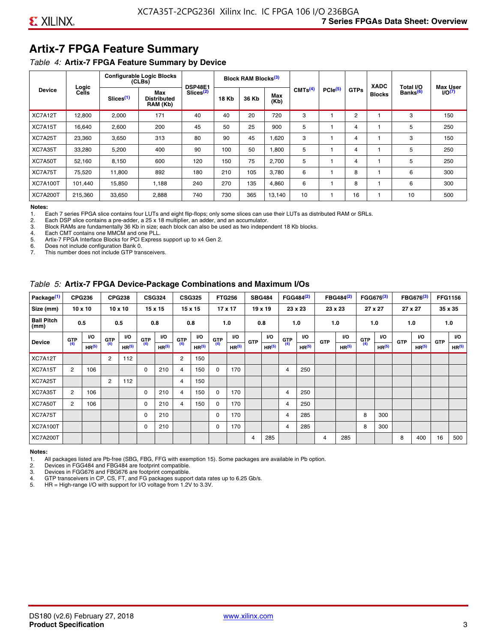### **Artix-7 FPGA Feature Summary**

#### *Table 4:* **Artix-7 FPGA Feature Summary by Device**

|                 |                |                       | <b>Configurable Logic Blocks</b><br>(CLBs) | <b>DSP48E1</b>        |              | Block RAM Blocks <sup>(3)</sup> |             |                     |                     |             | <b>XADC</b>   | Total I/O            | <b>Max User</b>    |
|-----------------|----------------|-----------------------|--------------------------------------------|-----------------------|--------------|---------------------------------|-------------|---------------------|---------------------|-------------|---------------|----------------------|--------------------|
| <b>Device</b>   | Logic<br>Cells | Slices <sup>(1)</sup> | Max<br><b>Distributed</b><br>RAM (Kb)      | Slices <sup>(2)</sup> | <b>18 Kb</b> | 36 Kb                           | Max<br>(Kb) | CMTS <sup>(4)</sup> | PCle <sup>(5)</sup> | <b>GTPs</b> | <b>Blocks</b> | Banks <sup>(6)</sup> | I/O <sub>(7)</sub> |
| XC7A12T         | 12,800         | 2,000                 | 171                                        | 40                    | 40           | 20                              | 720         | 3                   |                     | 2           |               | 3                    | 150                |
| XC7A15T         | 16,640         | 2,600                 | 200                                        | 45                    | 50           | 25                              | 900         | 5                   |                     | 4           |               | 5                    | 250                |
| XC7A25T         | 23,360         | 3,650                 | 313                                        | 80                    | 90           | 45                              | 1,620       | 3                   |                     | 4           |               | 3                    | 150                |
| XC7A35T         | 33,280         | 5,200                 | 400                                        | 90                    | 100          | 50                              | 1,800       | 5                   |                     | 4           |               | 5                    | 250                |
| XC7A50T         | 52,160         | 8,150                 | 600                                        | 120                   | 150          | 75                              | 2.700       | 5                   |                     | 4           |               | 5                    | 250                |
| XC7A75T         | 75,520         | 11,800                | 892                                        | 180                   | 210          | 105                             | 3,780       | 6                   |                     | 8           |               | 6                    | 300                |
| <b>XC7A100T</b> | 101.440        | 15,850                | 1.188                                      | 240                   | 270          | 135                             | 4,860       | 6                   |                     | 8           |               | 6                    | 300                |
| <b>XC7A200T</b> | 215,360        | 33,650                | 2,888                                      | 740                   | 730          | 365                             | 13,140      | 10                  |                     | 16          |               | 10                   | 500                |

**Notes:**  Each 7 series FPGA slice contains four LUTs and eight flip-flops; only some slices can use their LUTs as distributed RAM or SRLs.

2. Each DSP slice contains a pre-adder, a 25 x 18 multiplier, an adder, and an accumulator.

3. Block RAMs are fundamentally 36 Kb in size; each block can also be used as two independent 18 Kb blocks.

4. Each CMT contains one MMCM and one PLL.<br>5. Artix-7 FPGA Interface Blocks for PCI Express

5. Artix-7 FPGA Interface Blocks for PCI Express support up to x4 Gen 2.<br>6. Does not include configuration Bank 0.

6. Does not include configuration Bank 0.

This number does not include GTP transceivers.

#### *Table 5:* **Artix-7 FPGA Device-Package Combinations and Maximum I/Os**

| Package <sup>(1)</sup>    |            | <b>CPG236</b>     |                | <b>CPG238</b>  |            | <b>CSG324</b> |                | <b>CSG325</b>     |       | <b>FTG256</b>     |            | <b>SBG484</b>     |                | FGG484 <sup>(2)</sup> |                | FBG484 <sup>(2)</sup> |       | FGG676 <sup>(3)</sup> |            | FBG676 <sup>(3)</sup> |            | <b>FFG1156</b> |
|---------------------------|------------|-------------------|----------------|----------------|------------|---------------|----------------|-------------------|-------|-------------------|------------|-------------------|----------------|-----------------------|----------------|-----------------------|-------|-----------------------|------------|-----------------------|------------|----------------|
| Size (mm)                 |            | $10 \times 10$    |                | $10 \times 10$ |            | 15 x 15       |                | 15 x 15           |       | $17 \times 17$    |            | $19 \times 19$    |                | 23 x 23               |                | 23 x 23               |       | 27 x 27               |            | 27 x 27               |            | 35 x 35        |
| <b>Ball Pitch</b><br>(mm) |            | 0.5               |                | 0.5            |            | 0.8           | 0.8            |                   |       | 1.0               |            | 0.8               |                | 1.0                   |                | 1.0                   |       | 1.0                   |            | 1.0                   |            | 1.0            |
| <b>Device</b>             | <b>GTP</b> | <b>VO</b>         | <b>GTP</b>     | <b>VO</b>      | <b>GTP</b> | <b>VO</b>     | <b>GTP</b>     | <b>VO</b>         | G(TP) | VO.               | <b>GTP</b> | VO.               | G(TP)          | <b>VO</b>             | <b>GTP</b>     | <b>VO</b>             | G(TP) | <b>VO</b>             | <b>GTP</b> | <b>VO</b>             | <b>GTP</b> | <b>VO</b>      |
|                           | (4)        | HR <sup>(5)</sup> | (4)            | HR(5)          | (4)        | HP(5)         | (4)            | HR <sup>(5)</sup> |       | HR <sup>(5)</sup> |            | HR <sup>(5)</sup> |                | HR <sup>(5)</sup>     |                | HR <sup>(5)</sup>     |       | HR <sup>(5)</sup>     |            | HR <sup>(5)</sup>     |            | HR(5)          |
| XC7A12T                   |            |                   | $\overline{2}$ | 112            |            |               | $\overline{2}$ | 150               |       |                   |            |                   |                |                       |                |                       |       |                       |            |                       |            |                |
| XC7A15T                   | 2          | 106               |                |                | 0          | 210           | 4              | 150               | 0     | 170               |            |                   | $\overline{4}$ | 250                   |                |                       |       |                       |            |                       |            |                |
| XC7A25T                   |            |                   | 2              | 112            |            |               | 4              | 150               |       |                   |            |                   |                |                       |                |                       |       |                       |            |                       |            |                |
| XC7A35T                   | 2          | 106               |                |                | 0          | 210           | 4              | 150               | 0     | 170               |            |                   | 4              | 250                   |                |                       |       |                       |            |                       |            |                |
| XC7A50T                   | 2          | 106               |                |                | 0          | 210           | 4              | 150               | 0     | 170               |            |                   | 4              | 250                   |                |                       |       |                       |            |                       |            |                |
| XC7A75T                   |            |                   |                |                | 0          | 210           |                |                   | 0     | 170               |            |                   | 4              | 285                   |                |                       | 8     | 300                   |            |                       |            |                |
| <b>XC7A100T</b>           |            |                   |                |                | 0          | 210           |                |                   | 0     | 170               |            |                   | $\overline{4}$ | 285                   |                |                       | 8     | 300                   |            |                       |            |                |
| <b>XC7A200T</b>           |            |                   |                |                |            |               |                |                   |       |                   | 4          | 285               |                |                       | $\overline{4}$ | 285                   |       |                       | 8          | 400                   | 16         | 500            |

#### **Notes:**

1. All packages listed are Pb-free (SBG, FBG, FFG with exemption 15). Some packages are available in Pb option.

2. Devices in FGG484 and FBG484 are footprint compatible.

3. Devices in FGG676 and FBG676 are footprint compatible.

4. GTP transceivers in CP, CS, FT, and FG packages support data rates up to 6.25 Gb/s.<br>5. HR = High-range I/O with support for I/O voltage from 1.2V to 3.3V.

HR = High-range I/O with support for I/O voltage from 1.2V to 3.3V.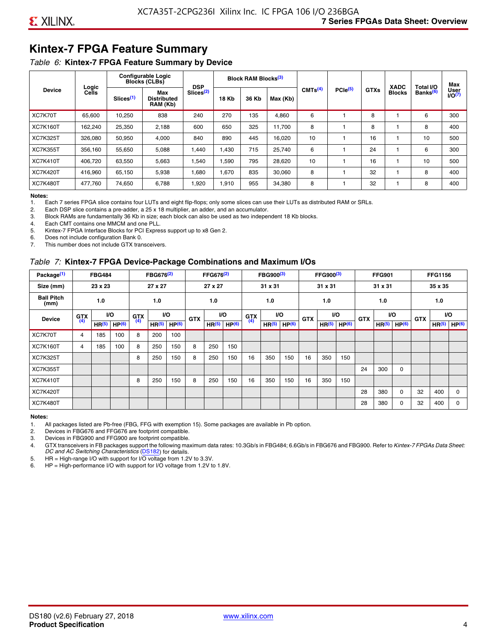### **Kintex-7 FPGA Feature Summary**

#### *Table 6:* **Kintex-7 FPGA Feature Summary by Device**

|                 |                |                       | <b>Configurable Logic</b><br><b>Blocks (CLBs)</b> | <b>DSP</b>            |              | Block RAM Blocks <sup>(3)</sup> |          |                     |                     |             | <b>XADC</b>   | Total I/O            | Max            |
|-----------------|----------------|-----------------------|---------------------------------------------------|-----------------------|--------------|---------------------------------|----------|---------------------|---------------------|-------------|---------------|----------------------|----------------|
| <b>Device</b>   | Logic<br>Cells | Slices <sup>(1)</sup> | Max<br>Distributed<br>RAM (Kb)                    | Slices <sup>(2)</sup> | <b>18 Kb</b> | 36 Kb                           | Max (Kb) | CMTS <sup>(4)</sup> | PCle <sup>(5)</sup> | <b>GTXs</b> | <b>Blocks</b> | Banks <sup>(6)</sup> | User<br>1/O(7) |
| XC7K70T         | 65.600         | 10,250                | 838                                               | 240                   | 270          | 135                             | 4,860    | 6                   |                     | 8           |               | 6                    | 300            |
| <b>XC7K160T</b> | 162,240        | 25,350                | 2,188                                             | 600                   | 650          | 325                             | 11,700   | 8                   |                     | 8           |               | 8                    | 400            |
| <b>XC7K325T</b> | 326.080        | 50,950                | 4,000                                             | 840                   | 890          | 445                             | 16,020   | 10                  |                     | 16          |               | 10                   | 500            |
| <b>XC7K355T</b> | 356.160        | 55,650                | 5,088                                             | 1.440                 | 1.430        | 715                             | 25,740   | 6                   |                     | 24          |               | 6                    | 300            |
| <b>XC7K410T</b> | 406.720        | 63,550                | 5,663                                             | .540                  | 1,590        | 795                             | 28,620   | 10                  |                     | 16          |               | 10                   | 500            |
| <b>XC7K420T</b> | 416.960        | 65.150                | 5,938                                             | 1,680                 | 1,670        | 835                             | 30,060   | 8                   |                     | 32          |               | 8                    | 400            |
| <b>XC7K480T</b> | 477,760        | 74,650                | 6,788                                             | 1,920                 | 1,910        | 955                             | 34,380   | 8                   |                     | 32          |               | 8                    | 400            |

#### **Notes:**

1. Each 7 series FPGA slice contains four LUTs and eight flip-flops; only some slices can use their LUTs as distributed RAM or SRLs.<br>2. Each DSP slice contains a pre-adder, a 25 x 18 multiplier, an adder, and an accumulato

Each DSP slice contains a pre-adder, a 25 x 18 multiplier, an adder, and an accumulator.

3. Block RAMs are fundamentally 36 Kb in size; each block can also be used as two independent 18 Kb blocks.

4. Each CMT contains one MMCM and one PLL.

5. Kintex-7 FPGA Interface Blocks for PCI Express support up to x8 Gen 2.

6. Does not include configuration Bank 0.

7. This number does not include GTX transceivers.

#### *Table 7:* **Kintex-7 FPGA Device-Package Combinations and Maximum I/Os**

| Package <sup>(1)</sup>    |            | <b>FBG484</b>     |                   |            | FBG676 <sup>(2)</sup> |                   |            | FFG676 <sup>(2)</sup> |                   |            | FBG900 <sup>(3)</sup> |           |            | FFG900 <sup>(3)</sup> |                   |            | <b>FFG901</b>     |                   |            | <b>FFG1156</b>    |                   |
|---------------------------|------------|-------------------|-------------------|------------|-----------------------|-------------------|------------|-----------------------|-------------------|------------|-----------------------|-----------|------------|-----------------------|-------------------|------------|-------------------|-------------------|------------|-------------------|-------------------|
| Size (mm)                 |            | 23 x 23           |                   |            | 27 x 27               |                   |            | 27 x 27               |                   |            | 31 x 31               |           |            | 31 x 31               |                   |            | 31 x 31           |                   |            | 35 x 35           |                   |
| <b>Ball Pitch</b><br>(mm) |            | 1.0               |                   |            | 1.0                   |                   |            | 1.0                   |                   |            | 1.0                   |           |            | 1.0                   |                   |            | 1.0               |                   |            | 1.0               |                   |
| <b>Device</b>             | <b>GTX</b> |                   | VO.               | <b>GTX</b> | <b>VO</b>             |                   | <b>GTX</b> |                       | <b>VO</b>         | <b>GTX</b> |                       | <b>VO</b> | <b>GTX</b> | <b>VO</b>             |                   | <b>GTX</b> |                   | VO                | <b>GTX</b> | <b>VO</b>         |                   |
|                           | (4)        | HR <sup>(5)</sup> | HP <sup>(6)</sup> | (4)        | HR <sup>(5)</sup>     | HP <sup>(6)</sup> |            | HR <sup>(5)</sup>     | HP <sup>(6)</sup> | (4)        | HR <sup>(5)</sup>     | HP(6)     |            | HR <sup>(5)</sup>     | HP <sup>(6)</sup> |            | HR <sup>(5)</sup> | HP <sup>(6)</sup> |            | HR <sup>(5)</sup> | HP <sup>(6)</sup> |
| XC7K70T                   | 4          | 185               | 100               | 8          | 200                   | 100               |            |                       |                   |            |                       |           |            |                       |                   |            |                   |                   |            |                   |                   |
| <b>XC7K160T</b>           | 4          | 185               | 100               | 8          | 250                   | 150               | 8          | 250                   | 150               |            |                       |           |            |                       |                   |            |                   |                   |            |                   |                   |
| <b>XC7K325T</b>           |            |                   |                   | 8          | 250                   | 150               | 8          | 250                   | 150               | 16         | 350                   | 150       | 16         | 350                   | 150               |            |                   |                   |            |                   |                   |
| <b>XC7K355T</b>           |            |                   |                   |            |                       |                   |            |                       |                   |            |                       |           |            |                       |                   | 24         | 300               | 0                 |            |                   |                   |
| <b>XC7K410T</b>           |            |                   |                   | 8          | 250                   | 150               | 8          | 250                   | 150               | 16         | 350                   | 150       | 16         | 350                   | 150               |            |                   |                   |            |                   |                   |
| <b>XC7K420T</b>           |            |                   |                   |            |                       |                   |            |                       |                   |            |                       |           |            |                       |                   | 28         | 380               | $\Omega$          | 32         | 400               | $\Omega$          |
| <b>XC7K480T</b>           |            |                   |                   |            |                       |                   |            |                       |                   |            |                       |           |            |                       |                   | 28         | 380               | 0                 | 32         | 400               | $\Omega$          |

#### **Notes:**

1. All packages listed are Pb-free (FBG, FFG with exemption 15). Some packages are available in Pb option.

2. Devices in FBG676 and FFG676 are footprint compatible.

3. Devices in FBG900 and FFG900 are footprint compatible. 4. GTX transceivers in FB packages support the following maximum data rates: 10.3Gb/s in FBG484; 6.6Gb/s in FBG676 and FBG900. Refer to *Kintex-7 FPGAs Data Sheet: DC and AC Switching Characteristics* [\(DS182](https://www.xilinx.com/support/documentation/data_sheets/ds182_Kintex_7_Data_Sheet.pdf)) for details.

5. HR = High-range I/O with support for I/O voltage from 1.2V to 3.3V.

6. HP = High-performance I/O with support for I/O voltage from 1.2V to 1.8V.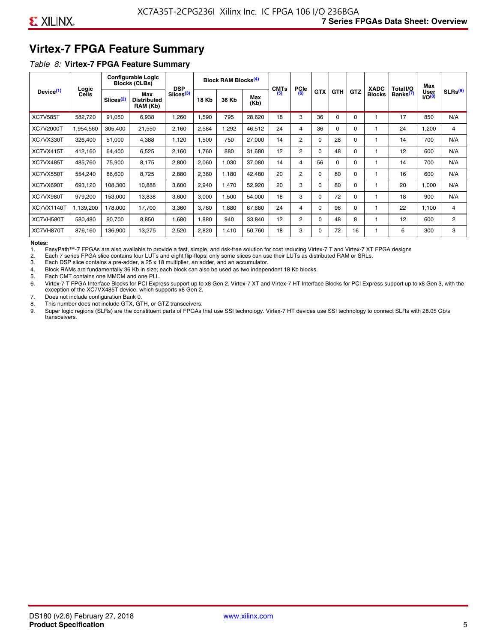### **Virtex-7 FPGA Feature Summary**

#### *Table 8:* **Virtex-7 FPGA Feature Summary**

|                       |                |                       | <b>Configurable Logic</b><br><b>Blocks (CLBs)</b> | <b>DSP</b>            |       | <b>Block RAM Blocks<sup>(4)</sup></b> |             | <b>CMTs</b> | <b>PCle</b>    |            |            |            | <b>XADC</b>   | Total I/O            | Max                        |                     |
|-----------------------|----------------|-----------------------|---------------------------------------------------|-----------------------|-------|---------------------------------------|-------------|-------------|----------------|------------|------------|------------|---------------|----------------------|----------------------------|---------------------|
| Device <sup>(1)</sup> | Logic<br>Cells | Slices <sup>(2)</sup> | Max<br><b>Distributed</b><br>RAM (Kb)             | Slices <sup>(3)</sup> | 18 Kb | 36 Kb                                 | Max<br>(Kb) | (5)         | (6)            | <b>GTX</b> | <b>GTH</b> | <b>GTZ</b> | <b>Blocks</b> | Banks <sup>(7)</sup> | <b>User</b><br>$1/O^{(8)}$ | SLRs <sup>(9)</sup> |
| <b>XC7V585T</b>       | 582,720        | 91,050                | 6,938                                             | .260                  | 1,590 | 795                                   | 28,620      | 18          | 3              | 36         | 0          | $\Omega$   |               | 17                   | 850                        | N/A                 |
| <b>XC7V2000T</b>      | 1,954,560      | 305,400               | 21,550                                            | 2,160                 | 2,584 | ,292                                  | 46,512      | 24          | 4              | 36         | 0          | $\Omega$   |               | 24                   | 1,200                      | 4                   |
| XC7VX330T             | 326,400        | 51,000                | 4,388                                             | 1,120                 | 1,500 | 750                                   | 27,000      | 14          | $\overline{2}$ | 0          | 28         | 0          |               | 14                   | 700                        | N/A                 |
| XC7VX415T             | 412,160        | 64.400                | 6,525                                             | 2,160                 | 1.760 | 880                                   | 31.680      | 12          | $\overline{2}$ | $\Omega$   | 48         | $\Omega$   |               | 12                   | 600                        | N/A                 |
| XC7VX485T             | 485,760        | 75,900                | 8,175                                             | 2,800                 | 2,060 | 1,030                                 | 37,080      | 14          | 4              | 56         | $\Omega$   | $\Omega$   |               | 14                   | 700                        | N/A                 |
| XC7VX550T             | 554,240        | 86,600                | 8,725                                             | 2,880                 | 2,360 | 1,180                                 | 42,480      | 20          | $\overline{2}$ | 0          | 80         | $\Omega$   |               | 16                   | 600                        | N/A                 |
| XC7VX690T             | 693,120        | 108,300               | 10,888                                            | 3,600                 | 2,940 | 1,470                                 | 52,920      | 20          | 3              | 0          | 80         | $\Omega$   |               | 20                   | 1,000                      | N/A                 |
| XC7VX980T             | 979,200        | 153,000               | 13,838                                            | 3,600                 | 3,000 | 1,500                                 | 54,000      | 18          | 3              | 0          | 72         | 0          |               | 18                   | 900                        | N/A                 |
| <b>XC7VX1140T</b>     | 1,139,200      | 178,000               | 17.700                                            | 3,360                 | 3.760 | 1,880                                 | 67,680      | 24          | 4              | 0          | 96         | $\Omega$   |               | 22                   | 1.100                      | 4                   |
| XC7VH580T             | 580,480        | 90,700                | 8,850                                             | 1,680                 | 1,880 | 940                                   | 33,840      | 12          | $\overline{c}$ | 0          | 48         | 8          |               | 12                   | 600                        | $\overline{c}$      |
| XC7VH870T             | 876,160        | 136,900               | 13,275                                            | 2,520                 | 2,820 | 1,410                                 | 50,760      | 18          | 3              | 0          | 72         | 16         |               | 6                    | 300                        | 3                   |

#### **Notes:**

1. EasyPath™-7 FPGAs are also available to provide a fast, simple, and risk-free solution for cost reducing Virtex-7 T and Virtex-7 XT FPGA designs

2. Each 7 series FPGA slice contains four LUTs and eight flip-flops; only some slices can use their LUTs as distributed RAM or SRLs.

Each DSP slice contains a pre-adder, a 25 x 18 multiplier, an adder, and an accumulator.

4. Block RAMs are fundamentally 36 Kb in size; each block can also be used as two independent 18 Kb blocks.

5. Each CMT contains one MMCM and one PLL.

6. Virtex-7 T FPGA Interface Blocks for PCI Express support up to x8 Gen 2. Virtex-7 XT and Virtex-7 HT Interface Blocks for PCI Express support up to x8 Gen 3, with the exception of the XC7VX485T device, which supports x8 Gen 2.

7. Does not include configuration Bank 0.

8. This number does not include GTX, GTH, or GTZ transceivers.

9. Super logic regions (SLRs) are the constituent parts of FPGAs that use SSI technology. Virtex-7 HT devices use SSI technology to connect SLRs with 28.05 Gb/s transceivers.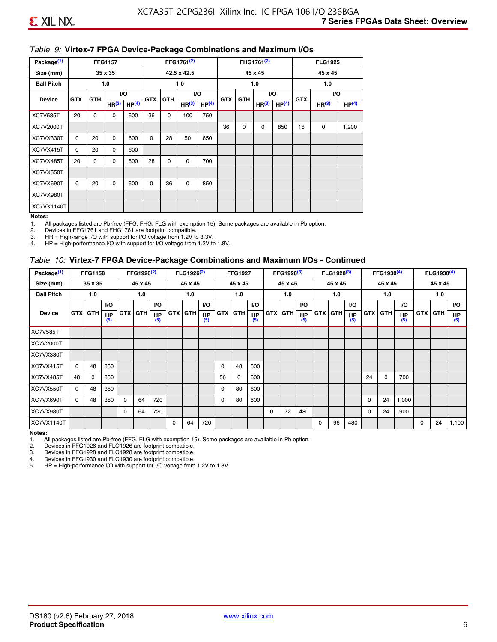#### *Table 9:* **Virtex-7 FPGA Device-Package Combinations and Maximum I/Os**

| Package <sup>(1)</sup> |            |            | <b>FFG1157</b>    |                   |            |            | FFG1761 <sup>(2)</sup> |                   |    |                                 | FHG1761 <sup>(2)</sup> |                   |            | <b>FLG1925</b>    |                   |
|------------------------|------------|------------|-------------------|-------------------|------------|------------|------------------------|-------------------|----|---------------------------------|------------------------|-------------------|------------|-------------------|-------------------|
| Size (mm)              |            |            | 35 x 35           |                   |            |            | 42.5 x 42.5            |                   |    |                                 | 45 x 45                |                   |            | 45 x 45           |                   |
| <b>Ball Pitch</b>      |            |            | 1.0               |                   |            |            | 1.0                    |                   |    |                                 | 1.0                    |                   |            | 1.0               |                   |
| <b>Device</b>          | <b>GTX</b> | <b>GTH</b> |                   | <b>VO</b>         | <b>GTX</b> | <b>GTH</b> |                        | I/O               |    | VO.<br><b>GTX</b><br><b>GTH</b> |                        |                   | <b>GTX</b> |                   | VO.               |
|                        |            |            | HR <sup>(3)</sup> | HP <sup>(4)</sup> |            |            | HR <sup>(3)</sup>      | HP <sup>(4)</sup> |    |                                 | HR <sup>(3)</sup>      | HP <sup>(4)</sup> |            | HR <sup>(3)</sup> | HP <sup>(4)</sup> |
| <b>XC7V585T</b>        | 20         | 0          | 0                 | 600               | 36         | 0          | 100                    | 750               |    |                                 |                        |                   |            |                   |                   |
| XC7V2000T              |            |            |                   |                   |            |            |                        |                   | 36 | 0                               | 0                      | 850               | 16         | 0                 | 1,200             |
| XC7VX330T              | $\Omega$   | 20         | $\Omega$          | 600               | $\Omega$   | 28         | 50                     | 650               |    |                                 |                        |                   |            |                   |                   |
| XC7VX415T              | $\Omega$   | 20         | $\Omega$          | 600               |            |            |                        |                   |    |                                 |                        |                   |            |                   |                   |
| XC7VX485T              | 20         | $\Omega$   | $\Omega$          | 600               | 28         | $\Omega$   | 0                      | 700               |    |                                 |                        |                   |            |                   |                   |
| XC7VX550T              |            |            |                   |                   |            |            |                        |                   |    |                                 |                        |                   |            |                   |                   |
| XC7VX690T              | $\Omega$   | 20         | $\Omega$          | 600               | $\Omega$   | 36         | $\Omega$               | 850               |    |                                 |                        |                   |            |                   |                   |
| XC7VX980T              |            |            |                   |                   |            |            |                        |                   |    |                                 |                        |                   |            |                   |                   |
| XC7VX1140T             |            |            |                   |                   |            |            |                        |                   |    |                                 |                        |                   |            |                   |                   |

#### **Notes:**

1. All packages listed are Pb-free (FFG, FHG, FLG with exemption 15). Some packages are available in Pb option.

2. Devices in FFG1761 and FHG1761 are footprint compatible.<br>3. HR = High-range I/O with support for I/O voltage from 1.2V to

HR = High-range I/O with support for I/O voltage from 1.2V to 3.3V.

4. HP = High-performance I/O with support for I/O voltage from 1.2V to 1.8V.

#### *Table 10:* **Virtex-7 FPGA Device-Package Combinations and Maximum I/Os - Continued**

| Package <sup>(1)</sup> |          | <b>FFG1158</b> |                  |            | FFG1926 <sup>(2)</sup> |                  |            | FLG1926 <sup>(2)</sup> |                  |    | <b>FFG1927</b> |                  |            | FFG1928 <sup>(3)</sup> |                  |            | FLG1928 <sup>(3)</sup> |                  |            | FFG1930 <sup>(4)</sup> |           |            | FLG1930 <sup>(4)</sup> |                  |
|------------------------|----------|----------------|------------------|------------|------------------------|------------------|------------|------------------------|------------------|----|----------------|------------------|------------|------------------------|------------------|------------|------------------------|------------------|------------|------------------------|-----------|------------|------------------------|------------------|
| Size (mm)              |          | 35 x 35        |                  |            | 45 x 45                |                  |            | 45 x 45                |                  |    | 45 x 45        |                  |            | 45 x 45                |                  |            | 45 x 45                |                  |            | 45 x 45                |           |            | 45 x 45                |                  |
| <b>Ball Pitch</b>      |          | 1.0            |                  |            | 1.0                    |                  |            | 1.0                    |                  |    | 1.0            |                  |            | 1.0                    |                  |            | 1.0                    |                  |            | 1.0                    |           |            | 1.0                    |                  |
|                        |          |                | <b>VO</b>        |            |                        | <b>VO</b>        |            |                        | VO.              |    |                | <b>VO</b>        |            |                        | <b>VO</b>        |            |                        | <b>VO</b>        |            |                        | <b>VO</b> |            |                        | <b>VO</b>        |
| <b>Device</b>          |          | <b>GTX GTH</b> | <b>HP</b><br>(5) | <b>GTX</b> | <b>GTH</b>             | <b>HP</b><br>(5) | <b>GTX</b> | <b>GTH</b>             | <b>HP</b><br>(5) |    | <b>GTX GTH</b> | <b>HP</b><br>(5) | <b>GTX</b> | <b>GTH</b>             | <b>HP</b><br>(5) | <b>GTX</b> | <b>GTH</b>             | <b>HP</b><br>(5) | <b>GTX</b> | GTH                    | HP<br>(5) | <b>GTX</b> | GTH                    | <b>HP</b><br>(5) |
| <b>XC7V585T</b>        |          |                |                  |            |                        |                  |            |                        |                  |    |                |                  |            |                        |                  |            |                        |                  |            |                        |           |            |                        |                  |
| <b>XC7V2000T</b>       |          |                |                  |            |                        |                  |            |                        |                  |    |                |                  |            |                        |                  |            |                        |                  |            |                        |           |            |                        |                  |
| XC7VX330T              |          |                |                  |            |                        |                  |            |                        |                  |    |                |                  |            |                        |                  |            |                        |                  |            |                        |           |            |                        |                  |
| XC7VX415T              | $\Omega$ | 48             | 350              |            |                        |                  |            |                        |                  | 0  | 48             | 600              |            |                        |                  |            |                        |                  |            |                        |           |            |                        |                  |
| XC7VX485T              | 48       | $\Omega$       | 350              |            |                        |                  |            |                        |                  | 56 | 0              | 600              |            |                        |                  |            |                        |                  | 24         | $\Omega$               | 700       |            |                        |                  |
| XC7VX550T              | $\Omega$ | 48             | 350              |            |                        |                  |            |                        |                  | 0  | 80             | 600              |            |                        |                  |            |                        |                  |            |                        |           |            |                        |                  |
| XC7VX690T              | $\Omega$ | 48             | 350              | $\Omega$   | 64                     | 720              |            |                        |                  | 0  | 80             | 600              |            |                        |                  |            |                        |                  | 0          | 24                     | 1,000     |            |                        |                  |
| XC7VX980T              |          |                |                  | $\Omega$   | 64                     | 720              |            |                        |                  |    |                |                  | $\Omega$   | 72                     | 480              |            |                        |                  | 0          | 24                     | 900       |            |                        |                  |
| <b>XC7VX1140T</b>      |          |                |                  |            |                        |                  | $\Omega$   | 64                     | 720              |    |                |                  |            |                        |                  | $\Omega$   | 96                     | 480              |            |                        |           | $\Omega$   | 24                     | 1,100            |

**Notes:** 

1. All packages listed are Pb-free (FFG, FLG with exemption 15). Some packages are available in Pb option.<br>2. Devices in FFG1926 and FLG1926 are footprint compatible.

2. Devices in FFG1926 and FLG1926 are footprint compatible.

3. Devices in FFG1928 and FLG1928 are footprint compatible.

4. Devices in FFG1930 and FLG1930 are footprint compatible.<br>5. HP = High-performance I/O with support for I/O voltage from HP = High-performance I/O with support for I/O voltage from 1.2V to 1.8V.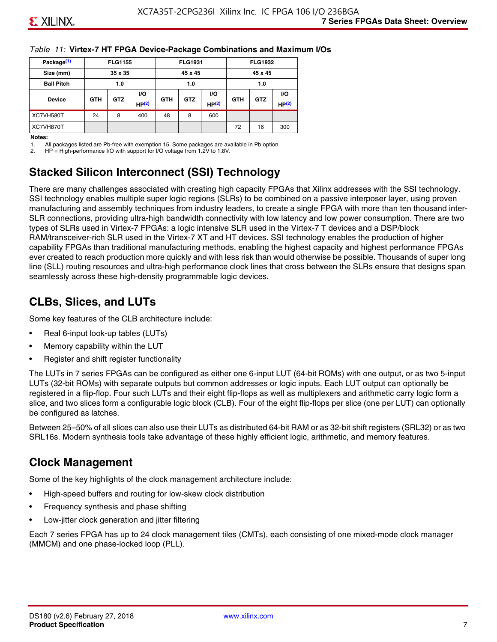#### *Table 11:* **Virtex-7 HT FPGA Device-Package Combinations and Maximum I/Os**

| Package <sup>(1)</sup> |            | <b>FLG1155</b> |       |            | <b>FLG1931</b> |       |            | <b>FLG1932</b> |       |
|------------------------|------------|----------------|-------|------------|----------------|-------|------------|----------------|-------|
| Size (mm)              |            | 35 x 35        |       |            | 45 x 45        |       |            | 45 x 45        |       |
| <b>Ball Pitch</b>      |            | 1.0            |       |            | 1.0            |       |            | 1.0            |       |
|                        |            | <b>GTZ</b>     | VO.   |            |                | VO.   |            | <b>GTZ</b>     | VO.   |
| <b>Device</b>          | <b>GTH</b> |                | HP(2) | <b>GTH</b> | <b>GTZ</b>     | HP(2) | <b>GTH</b> |                | HP(2) |
| XC7VH580T              | 24         | 8              | 400   | 48         | 8              | 600   |            |                |       |
| XC7VH870T              |            |                |       |            |                |       | 72         | 16             | 300   |

#### **Notes:**

1. All packages listed are Pb-free with exemption 15. Some packages are available in Pb option.

2. HP = High-performance I/O with support for I/O voltage from 1.2V to 1.8V.

### **Stacked Silicon Interconnect (SSI) Technology**

There are many challenges associated with creating high capacity FPGAs that Xilinx addresses with the SSI technology. SSI technology enables multiple super logic regions (SLRs) to be combined on a passive interposer layer, using proven manufacturing and assembly techniques from industry leaders, to create a single FPGA with more than ten thousand inter-SLR connections, providing ultra-high bandwidth connectivity with low latency and low power consumption. There are two types of SLRs used in Virtex-7 FPGAs: a logic intensive SLR used in the Virtex-7 T devices and a DSP/block RAM/transceiver-rich SLR used in the Virtex-7 XT and HT devices. SSI technology enables the production of higher capability FPGAs than traditional manufacturing methods, enabling the highest capacity and highest performance FPGAs ever created to reach production more quickly and with less risk than would otherwise be possible. Thousands of super long line (SLL) routing resources and ultra-high performance clock lines that cross between the SLRs ensure that designs span seamlessly across these high-density programmable logic devices.

### **CLBs, Slices, and LUTs**

Some key features of the CLB architecture include:

- Real 6-input look-up tables (LUTs)
- Memory capability within the LUT
- Register and shift register functionality

The LUTs in 7 series FPGAs can be configured as either one 6-input LUT (64-bit ROMs) with one output, or as two 5-input LUTs (32-bit ROMs) with separate outputs but common addresses or logic inputs. Each LUT output can optionally be registered in a flip-flop. Four such LUTs and their eight flip-flops as well as multiplexers and arithmetic carry logic form a slice, and two slices form a configurable logic block (CLB). Four of the eight flip-flops per slice (one per LUT) can optionally be configured as latches.

Between 25–50% of all slices can also use their LUTs as distributed 64-bit RAM or as 32-bit shift registers (SRL32) or as two SRL16s. Modern synthesis tools take advantage of these highly efficient logic, arithmetic, and memory features.

#### **Clock Management**

Some of the key highlights of the clock management architecture include:

- High-speed buffers and routing for low-skew clock distribution
- Frequency synthesis and phase shifting
- Low-jitter clock generation and jitter filtering

Each 7 series FPGA has up to 24 clock management tiles (CMTs), each consisting of one mixed-mode clock manager (MMCM) and one phase-locked loop (PLL).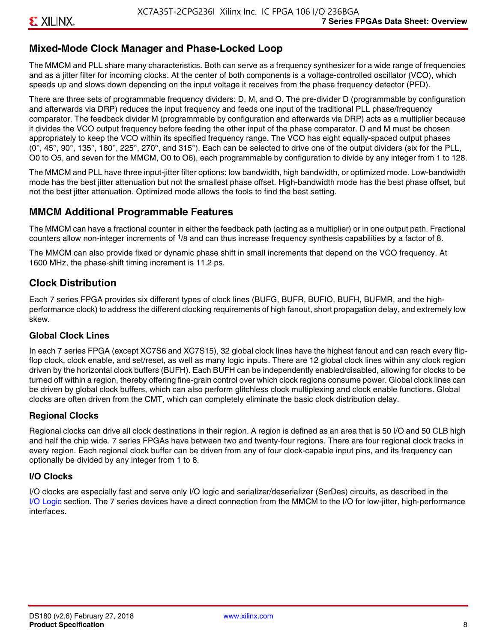### **Mixed-Mode Clock Manager and Phase-Locked Loop**

The MMCM and PLL share many characteristics. Both can serve as a frequency synthesizer for a wide range of frequencies and as a jitter filter for incoming clocks. At the center of both components is a voltage-controlled oscillator (VCO), which speeds up and slows down depending on the input voltage it receives from the phase frequency detector (PFD).

There are three sets of programmable frequency dividers: D, M, and O. The pre-divider D (programmable by configuration and afterwards via DRP) reduces the input frequency and feeds one input of the traditional PLL phase/frequency comparator. The feedback divider M (programmable by configuration and afterwards via DRP) acts as a multiplier because it divides the VCO output frequency before feeding the other input of the phase comparator. D and M must be chosen appropriately to keep the VCO within its specified frequency range. The VCO has eight equally-spaced output phases  $(0^\circ, 45^\circ, 90^\circ, 135^\circ, 180^\circ, 225^\circ, 270^\circ,$  and  $315^\circ$ ). Each can be selected to drive one of the output dividers (six for the PLL, O0 to O5, and seven for the MMCM, O0 to O6), each programmable by configuration to divide by any integer from 1 to 128.

The MMCM and PLL have three input-jitter filter options: low bandwidth, high bandwidth, or optimized mode. Low-bandwidth mode has the best jitter attenuation but not the smallest phase offset. High-bandwidth mode has the best phase offset, but not the best jitter attenuation. Optimized mode allows the tools to find the best setting.

### **MMCM Additional Programmable Features**

The MMCM can have a fractional counter in either the feedback path (acting as a multiplier) or in one output path. Fractional counters allow non-integer increments of  $1/8$  and can thus increase frequency synthesis capabilities by a factor of 8.

The MMCM can also provide fixed or dynamic phase shift in small increments that depend on the VCO frequency. At 1600 MHz, the phase-shift timing increment is 11.2 ps.

### **Clock Distribution**

Each 7 series FPGA provides six different types of clock lines (BUFG, BUFR, BUFIO, BUFH, BUFMR, and the highperformance clock) to address the different clocking requirements of high fanout, short propagation delay, and extremely low skew.

#### **Global Clock Lines**

In each 7 series FPGA (except XC7S6 and XC7S15), 32 global clock lines have the highest fanout and can reach every flipflop clock, clock enable, and set/reset, as well as many logic inputs. There are 12 global clock lines within any clock region driven by the horizontal clock buffers (BUFH). Each BUFH can be independently enabled/disabled, allowing for clocks to be turned off within a region, thereby offering fine-grain control over which clock regions consume power. Global clock lines can be driven by global clock buffers, which can also perform glitchless clock multiplexing and clock enable functions. Global clocks are often driven from the CMT, which can completely eliminate the basic clock distribution delay.

#### **Regional Clocks**

Regional clocks can drive all clock destinations in their region. A region is defined as an area that is 50 I/O and 50 CLB high and half the chip wide. 7 series FPGAs have between two and twenty-four regions. There are four regional clock tracks in every region. Each regional clock buffer can be driven from any of four clock-capable input pins, and its frequency can optionally be divided by any integer from 1 to 8.

#### **I/O Clocks**

I/O clocks are especially fast and serve only I/O logic and serializer/deserializer (SerDes) circuits, as described in the I/O Logic section. The 7 series devices have a direct connection from the MMCM to the I/O for low-jitter, high-performance interfaces.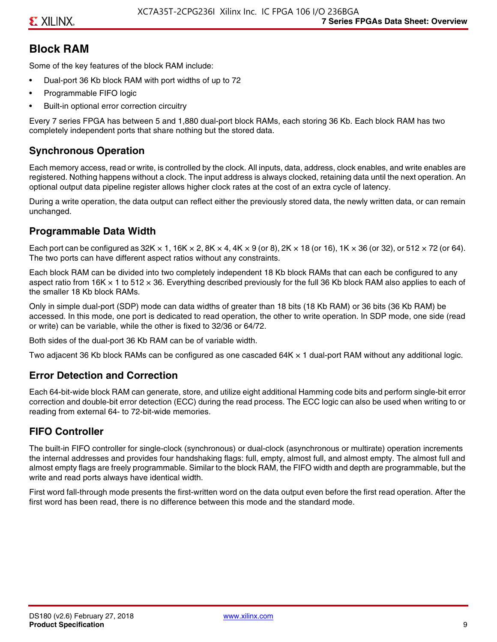#### **Block RAM**

Some of the key features of the block RAM include:

- Dual-port 36 Kb block RAM with port widths of up to 72
- Programmable FIFO logic
- Built-in optional error correction circuitry

Every 7 series FPGA has between 5 and 1,880 dual-port block RAMs, each storing 36 Kb. Each block RAM has two completely independent ports that share nothing but the stored data.

#### **Synchronous Operation**

Each memory access, read or write, is controlled by the clock. All inputs, data, address, clock enables, and write enables are registered. Nothing happens without a clock. The input address is always clocked, retaining data until the next operation. An optional output data pipeline register allows higher clock rates at the cost of an extra cycle of latency.

During a write operation, the data output can reflect either the previously stored data, the newly written data, or can remain unchanged.

#### **Programmable Data Width**

Each port can be configured as 32K  $\times$  1, 16K  $\times$  2, 8K  $\times$  4, 4K  $\times$  9 (or 8), 2K  $\times$  18 (or 16), 1K  $\times$  36 (or 32), or 512  $\times$  72 (or 64). The two ports can have different aspect ratios without any constraints.

Each block RAM can be divided into two completely independent 18 Kb block RAMs that can each be configured to any aspect ratio from 16K  $\times$  1 to 512  $\times$  36. Everything described previously for the full 36 Kb block RAM also applies to each of the smaller 18 Kb block RAMs.

Only in simple dual-port (SDP) mode can data widths of greater than 18 bits (18 Kb RAM) or 36 bits (36 Kb RAM) be accessed. In this mode, one port is dedicated to read operation, the other to write operation. In SDP mode, one side (read or write) can be variable, while the other is fixed to 32/36 or 64/72.

Both sides of the dual-port 36 Kb RAM can be of variable width.

Two adjacent 36 Kb block RAMs can be configured as one cascaded 64K × 1 dual-port RAM without any additional logic.

#### **Error Detection and Correction**

Each 64-bit-wide block RAM can generate, store, and utilize eight additional Hamming code bits and perform single-bit error correction and double-bit error detection (ECC) during the read process. The ECC logic can also be used when writing to or reading from external 64- to 72-bit-wide memories.

#### **FIFO Controller**

The built-in FIFO controller for single-clock (synchronous) or dual-clock (asynchronous or multirate) operation increments the internal addresses and provides four handshaking flags: full, empty, almost full, and almost empty. The almost full and almost empty flags are freely programmable. Similar to the block RAM, the FIFO width and depth are programmable, but the write and read ports always have identical width.

First word fall-through mode presents the first-written word on the data output even before the first read operation. After the first word has been read, there is no difference between this mode and the standard mode.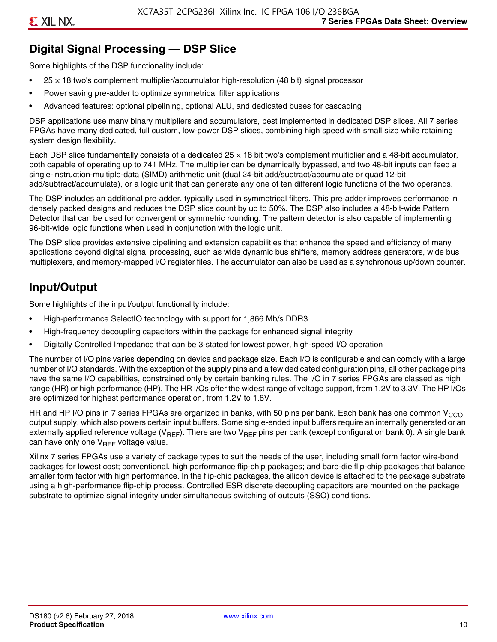### **Digital Signal Processing — DSP Slice**

Some highlights of the DSP functionality include:

- $25 \times 18$  two's complement multiplier/accumulator high-resolution (48 bit) signal processor
- Power saving pre-adder to optimize symmetrical filter applications
- Advanced features: optional pipelining, optional ALU, and dedicated buses for cascading

DSP applications use many binary multipliers and accumulators, best implemented in dedicated DSP slices. All 7 series FPGAs have many dedicated, full custom, low-power DSP slices, combining high speed with small size while retaining system design flexibility.

Each DSP slice fundamentally consists of a dedicated 25 × 18 bit two's complement multiplier and a 48-bit accumulator, both capable of operating up to 741 MHz. The multiplier can be dynamically bypassed, and two 48-bit inputs can feed a single-instruction-multiple-data (SIMD) arithmetic unit (dual 24-bit add/subtract/accumulate or quad 12-bit add/subtract/accumulate), or a logic unit that can generate any one of ten different logic functions of the two operands.

The DSP includes an additional pre-adder, typically used in symmetrical filters. This pre-adder improves performance in densely packed designs and reduces the DSP slice count by up to 50%. The DSP also includes a 48-bit-wide Pattern Detector that can be used for convergent or symmetric rounding. The pattern detector is also capable of implementing 96-bit-wide logic functions when used in conjunction with the logic unit.

The DSP slice provides extensive pipelining and extension capabilities that enhance the speed and efficiency of many applications beyond digital signal processing, such as wide dynamic bus shifters, memory address generators, wide bus multiplexers, and memory-mapped I/O register files. The accumulator can also be used as a synchronous up/down counter.

### **Input/Output**

Some highlights of the input/output functionality include:

- High-performance SelectIO technology with support for 1,866 Mb/s DDR3
- High-frequency decoupling capacitors within the package for enhanced signal integrity
- Digitally Controlled Impedance that can be 3-stated for lowest power, high-speed I/O operation

The number of I/O pins varies depending on device and package size. Each I/O is configurable and can comply with a large number of I/O standards. With the exception of the supply pins and a few dedicated configuration pins, all other package pins have the same I/O capabilities, constrained only by certain banking rules. The I/O in 7 series FPGAs are classed as high range (HR) or high performance (HP). The HR I/Os offer the widest range of voltage support, from 1.2V to 3.3V. The HP I/Os are optimized for highest performance operation, from 1.2V to 1.8V.

HR and HP I/O pins in 7 series FPGAs are organized in banks, with 50 pins per bank. Each bank has one common V<sub>CCO</sub> output supply, which also powers certain input buffers. Some single-ended input buffers require an internally generated or an externally applied reference voltage ( $V_{RFF}$ ). There are two  $V_{RFF}$  pins per bank (except configuration bank 0). A single bank can have only one  $V_{\text{RFF}}$  voltage value.

Xilinx 7 series FPGAs use a variety of package types to suit the needs of the user, including small form factor wire-bond packages for lowest cost; conventional, high performance flip-chip packages; and bare-die flip-chip packages that balance smaller form factor with high performance. In the flip-chip packages, the silicon device is attached to the package substrate using a high-performance flip-chip process. Controlled ESR discrete decoupling capacitors are mounted on the package substrate to optimize signal integrity under simultaneous switching of outputs (SSO) conditions.

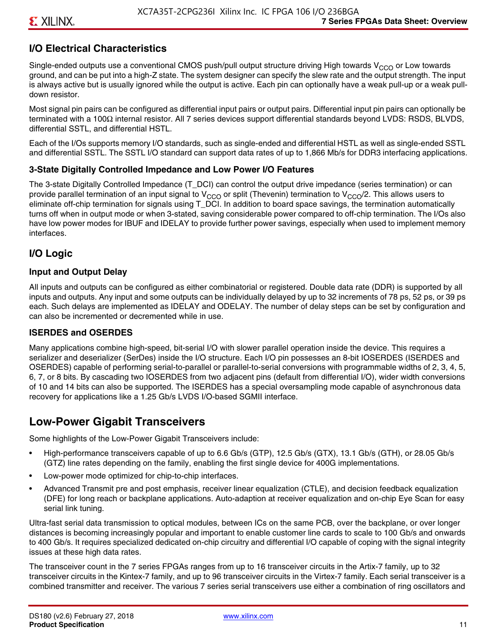### **I/O Electrical Characteristics**

Single-ended outputs use a conventional CMOS push/pull output structure driving High towards  $V_{CCO}$  or Low towards ground, and can be put into a high-Z state. The system designer can specify the slew rate and the output strength. The input is always active but is usually ignored while the output is active. Each pin can optionally have a weak pull-up or a weak pulldown resistor.

Most signal pin pairs can be configured as differential input pairs or output pairs. Differential input pin pairs can optionally be terminated with a 100Ω internal resistor. All 7 series devices support differential standards beyond LVDS: RSDS, BLVDS, differential SSTL, and differential HSTL.

Each of the I/Os supports memory I/O standards, such as single-ended and differential HSTL as well as single-ended SSTL and differential SSTL. The SSTL I/O standard can support data rates of up to 1,866 Mb/s for DDR3 interfacing applications.

#### **3-State Digitally Controlled Impedance and Low Power I/O Features**

The 3-state Digitally Controlled Impedance (T\_DCI) can control the output drive impedance (series termination) or can provide parallel termination of an input signal to V<sub>CCO</sub> or split (Thevenin) termination to V<sub>CCO</sub>/2. This allows users to eliminate off-chip termination for signals using T\_DCI. In addition to board space savings, the termination automatically turns off when in output mode or when 3-stated, saving considerable power compared to off-chip termination. The I/Os also have low power modes for IBUF and IDELAY to provide further power savings, especially when used to implement memory interfaces.

#### **I/O Logic**

#### **Input and Output Delay**

All inputs and outputs can be configured as either combinatorial or registered. Double data rate (DDR) is supported by all inputs and outputs. Any input and some outputs can be individually delayed by up to 32 increments of 78 ps, 52 ps, or 39 ps each. Such delays are implemented as IDELAY and ODELAY. The number of delay steps can be set by configuration and can also be incremented or decremented while in use.

#### **ISERDES and OSERDES**

Many applications combine high-speed, bit-serial I/O with slower parallel operation inside the device. This requires a serializer and deserializer (SerDes) inside the I/O structure. Each I/O pin possesses an 8-bit IOSERDES (ISERDES and OSERDES) capable of performing serial-to-parallel or parallel-to-serial conversions with programmable widths of 2, 3, 4, 5, 6, 7, or 8 bits. By cascading two IOSERDES from two adjacent pins (default from differential I/O), wider width conversions of 10 and 14 bits can also be supported. The ISERDES has a special oversampling mode capable of asynchronous data recovery for applications like a 1.25 Gb/s LVDS I/O-based SGMII interface.

### **Low-Power Gigabit Transceivers**

Some highlights of the Low-Power Gigabit Transceivers include:

- High-performance transceivers capable of up to 6.6 Gb/s (GTP), 12.5 Gb/s (GTX), 13.1 Gb/s (GTH), or 28.05 Gb/s (GTZ) line rates depending on the family, enabling the first single device for 400G implementations.
- Low-power mode optimized for chip-to-chip interfaces.
- Advanced Transmit pre and post emphasis, receiver linear equalization (CTLE), and decision feedback equalization (DFE) for long reach or backplane applications. Auto-adaption at receiver equalization and on-chip Eye Scan for easy serial link tuning.

Ultra-fast serial data transmission to optical modules, between ICs on the same PCB, over the backplane, or over longer distances is becoming increasingly popular and important to enable customer line cards to scale to 100 Gb/s and onwards to 400 Gb/s. It requires specialized dedicated on-chip circuitry and differential I/O capable of coping with the signal integrity issues at these high data rates.

The transceiver count in the 7 series FPGAs ranges from up to 16 transceiver circuits in the Artix-7 family, up to 32 transceiver circuits in the Kintex-7 family, and up to 96 transceiver circuits in the Virtex-7 family. Each serial transceiver is a combined transmitter and receiver. The various 7 series serial transceivers use either a combination of ring oscillators and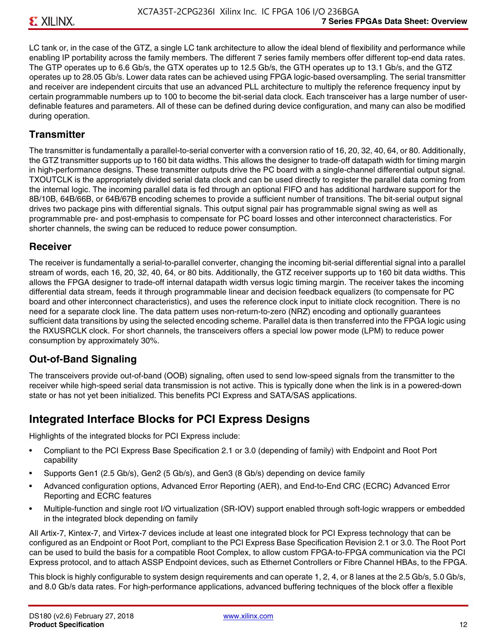LC tank or, in the case of the GTZ, a single LC tank architecture to allow the ideal blend of flexibility and performance while enabling IP portability across the family members. The different 7 series family members offer different top-end data rates. The GTP operates up to 6.6 Gb/s, the GTX operates up to 12.5 Gb/s, the GTH operates up to 13.1 Gb/s, and the GTZ operates up to 28.05 Gb/s. Lower data rates can be achieved using FPGA logic-based oversampling. The serial transmitter and receiver are independent circuits that use an advanced PLL architecture to multiply the reference frequency input by certain programmable numbers up to 100 to become the bit-serial data clock. Each transceiver has a large number of userdefinable features and parameters. All of these can be defined during device configuration, and many can also be modified during operation.

#### **Transmitter**

The transmitter is fundamentally a parallel-to-serial converter with a conversion ratio of 16, 20, 32, 40, 64, or 80. Additionally, the GTZ transmitter supports up to 160 bit data widths. This allows the designer to trade-off datapath width for timing margin in high-performance designs. These transmitter outputs drive the PC board with a single-channel differential output signal. TXOUTCLK is the appropriately divided serial data clock and can be used directly to register the parallel data coming from the internal logic. The incoming parallel data is fed through an optional FIFO and has additional hardware support for the 8B/10B, 64B/66B, or 64B/67B encoding schemes to provide a sufficient number of transitions. The bit-serial output signal drives two package pins with differential signals. This output signal pair has programmable signal swing as well as programmable pre- and post-emphasis to compensate for PC board losses and other interconnect characteristics. For shorter channels, the swing can be reduced to reduce power consumption.

#### **Receiver**

The receiver is fundamentally a serial-to-parallel converter, changing the incoming bit-serial differential signal into a parallel stream of words, each 16, 20, 32, 40, 64, or 80 bits. Additionally, the GTZ receiver supports up to 160 bit data widths. This allows the FPGA designer to trade-off internal datapath width versus logic timing margin. The receiver takes the incoming differential data stream, feeds it through programmable linear and decision feedback equalizers (to compensate for PC board and other interconnect characteristics), and uses the reference clock input to initiate clock recognition. There is no need for a separate clock line. The data pattern uses non-return-to-zero (NRZ) encoding and optionally guarantees sufficient data transitions by using the selected encoding scheme. Parallel data is then transferred into the FPGA logic using the RXUSRCLK clock. For short channels, the transceivers offers a special low power mode (LPM) to reduce power consumption by approximately 30%.

#### **Out-of-Band Signaling**

The transceivers provide out-of-band (OOB) signaling, often used to send low-speed signals from the transmitter to the receiver while high-speed serial data transmission is not active. This is typically done when the link is in a powered-down state or has not yet been initialized. This benefits PCI Express and SATA/SAS applications.

#### **Integrated Interface Blocks for PCI Express Designs**

Highlights of the integrated blocks for PCI Express include:

- Compliant to the PCI Express Base Specification 2.1 or 3.0 (depending of family) with Endpoint and Root Port capability
- Supports Gen1 (2.5 Gb/s), Gen2 (5 Gb/s), and Gen3 (8 Gb/s) depending on device family
- Advanced configuration options, Advanced Error Reporting (AER), and End-to-End CRC (ECRC) Advanced Error Reporting and ECRC features
- Multiple-function and single root I/O virtualization (SR-IOV) support enabled through soft-logic wrappers or embedded in the integrated block depending on family

All Artix-7, Kintex-7, and Virtex-7 devices include at least one integrated block for PCI Express technology that can be configured as an Endpoint or Root Port, compliant to the PCI Express Base Specification Revision 2.1 or 3.0. The Root Port can be used to build the basis for a compatible Root Complex, to allow custom FPGA-to-FPGA communication via the PCI Express protocol, and to attach ASSP Endpoint devices, such as Ethernet Controllers or Fibre Channel HBAs, to the FPGA.

This block is highly configurable to system design requirements and can operate 1, 2, 4, or 8 lanes at the 2.5 Gb/s, 5.0 Gb/s, and 8.0 Gb/s data rates. For high-performance applications, advanced buffering techniques of the block offer a flexible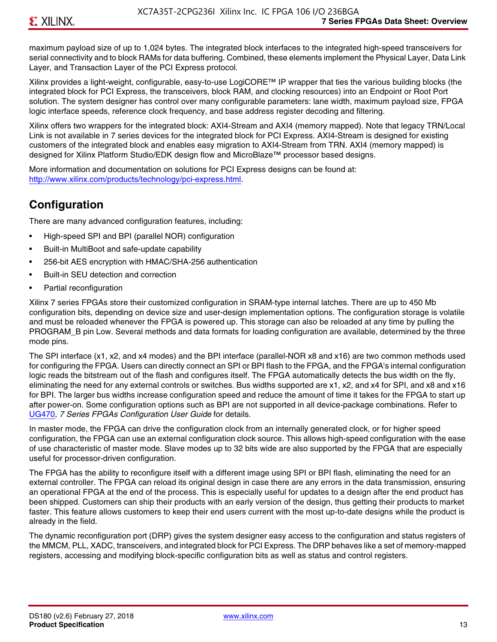maximum payload size of up to 1,024 bytes. The integrated block interfaces to the integrated high-speed transceivers for serial connectivity and to block RAMs for data buffering. Combined, these elements implement the Physical Layer, Data Link Layer, and Transaction Layer of the PCI Express protocol.

Xilinx provides a light-weight, configurable, easy-to-use LogiCORE™ IP wrapper that ties the various building blocks (the integrated block for PCI Express, the transceivers, block RAM, and clocking resources) into an Endpoint or Root Port solution. The system designer has control over many configurable parameters: lane width, maximum payload size, FPGA logic interface speeds, reference clock frequency, and base address register decoding and filtering.

Xilinx offers two wrappers for the integrated block: AXI4-Stream and AXI4 (memory mapped). Note that legacy TRN/Local Link is not available in 7 series devices for the integrated block for PCI Express. AXI4-Stream is designed for existing customers of the integrated block and enables easy migration to AXI4-Stream from TRN. AXI4 (memory mapped) is designed for Xilinx Platform Studio/EDK design flow and MicroBlaze™ processor based designs.

More information and documentation on solutions for PCI Express designs can be found at: <http://www.xilinx.com/products/technology/pci-express.html>.

### **Configuration**

There are many advanced configuration features, including:

- High-speed SPI and BPI (parallel NOR) configuration
- Built-in MultiBoot and safe-update capability
- 256-bit AES encryption with HMAC/SHA-256 authentication
- Built-in SEU detection and correction
- Partial reconfiguration

Xilinx 7 series FPGAs store their customized configuration in SRAM-type internal latches. There are up to 450 Mb configuration bits, depending on device size and user-design implementation options. The configuration storage is volatile and must be reloaded whenever the FPGA is powered up. This storage can also be reloaded at any time by pulling the PROGRAM B pin Low. Several methods and data formats for loading configuration are available, determined by the three mode pins.

The SPI interface (x1, x2, and x4 modes) and the BPI interface (parallel-NOR x8 and x16) are two common methods used for configuring the FPGA. Users can directly connect an SPI or BPI flash to the FPGA, and the FPGA's internal configuration logic reads the bitstream out of the flash and configures itself. The FPGA automatically detects the bus width on the fly, eliminating the need for any external controls or switches. Bus widths supported are x1, x2, and x4 for SPI, and x8 and x16 for BPI. The larger bus widths increase configuration speed and reduce the amount of time it takes for the FPGA to start up after power-on. Some configuration options such as BPI are not supported in all device-package combinations. Refer to [UG470,](http://www.xilinx.com/support/documentation/user_guides/ug470_7Series_Config.pdf) *7 Series FPGAs Configuration User Guide* for details.

In master mode, the FPGA can drive the configuration clock from an internally generated clock, or for higher speed configuration, the FPGA can use an external configuration clock source. This allows high-speed configuration with the ease of use characteristic of master mode. Slave modes up to 32 bits wide are also supported by the FPGA that are especially useful for processor-driven configuration.

The FPGA has the ability to reconfigure itself with a different image using SPI or BPI flash, eliminating the need for an external controller. The FPGA can reload its original design in case there are any errors in the data transmission, ensuring an operational FPGA at the end of the process. This is especially useful for updates to a design after the end product has been shipped. Customers can ship their products with an early version of the design, thus getting their products to market faster. This feature allows customers to keep their end users current with the most up-to-date designs while the product is already in the field.

The dynamic reconfiguration port (DRP) gives the system designer easy access to the configuration and status registers of the MMCM, PLL, XADC, transceivers, and integrated block for PCI Express. The DRP behaves like a set of memory-mapped registers, accessing and modifying block-specific configuration bits as well as status and control registers.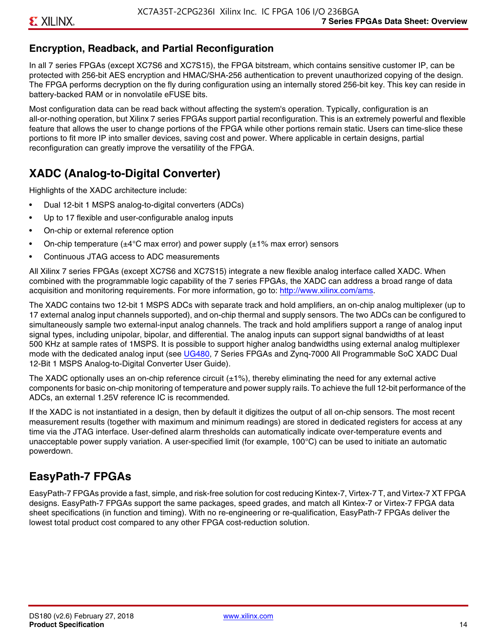### **Encryption, Readback, and Partial Reconfiguration**

In all 7 series FPGAs (except XC7S6 and XC7S15), the FPGA bitstream, which contains sensitive customer IP, can be protected with 256-bit AES encryption and HMAC/SHA-256 authentication to prevent unauthorized copying of the design. The FPGA performs decryption on the fly during configuration using an internally stored 256-bit key. This key can reside in battery-backed RAM or in nonvolatile eFUSE bits.

Most configuration data can be read back without affecting the system's operation. Typically, configuration is an all-or-nothing operation, but Xilinx 7 series FPGAs support partial reconfiguration. This is an extremely powerful and flexible feature that allows the user to change portions of the FPGA while other portions remain static. Users can time-slice these portions to fit more IP into smaller devices, saving cost and power. Where applicable in certain designs, partial reconfiguration can greatly improve the versatility of the FPGA.

## **XADC (Analog-to-Digital Converter)**

Highlights of the XADC architecture include:

- Dual 12-bit 1 MSPS analog-to-digital converters (ADCs)
- Up to 17 flexible and user-configurable analog inputs
- On-chip or external reference option
- On-chip temperature ( $\pm 4^{\circ}$ C max error) and power supply ( $\pm 1\%$  max error) sensors
- Continuous JTAG access to ADC measurements

All Xilinx 7 series FPGAs (except XC7S6 and XC7S15) integrate a new flexible analog interface called XADC. When combined with the programmable logic capability of the 7 series FPGAs, the XADC can address a broad range of data acquisition and monitoring requirements. For more information, go to: [http://www.xilinx.com/ams.](http://www.xilinx.com/ams)

The XADC contains two 12-bit 1 MSPS ADCs with separate track and hold amplifiers, an on-chip analog multiplexer (up to 17 external analog input channels supported), and on-chip thermal and supply sensors. The two ADCs can be configured to simultaneously sample two external-input analog channels. The track and hold amplifiers support a range of analog input signal types, including unipolar, bipolar, and differential. The analog inputs can support signal bandwidths of at least 500 KHz at sample rates of 1MSPS. It is possible to support higher analog bandwidths using external analog multiplexer mode with the dedicated analog input (see [UG480](http://www.xilinx.com/support/documentation/user_guides/ug480_7Series_XADC.pdf), 7 Series FPGAs and Zynq-7000 All Programmable SoC XADC Dual 12-Bit 1 MSPS Analog-to-Digital Converter User Guide)*.*

The XADC optionally uses an on-chip reference circuit  $(\pm 1\%)$ , thereby eliminating the need for any external active components for basic on-chip monitoring of temperature and power supply rails. To achieve the full 12-bit performance of the ADCs, an external 1.25V reference IC is recommended.

If the XADC is not instantiated in a design, then by default it digitizes the output of all on-chip sensors. The most recent measurement results (together with maximum and minimum readings) are stored in dedicated registers for access at any time via the JTAG interface. User-defined alarm thresholds can automatically indicate over-temperature events and unacceptable power supply variation. A user-specified limit (for example, 100°C) can be used to initiate an automatic powerdown.

### **EasyPath-7 FPGAs**

EasyPath-7 FPGAs provide a fast, simple, and risk-free solution for cost reducing Kintex-7, Virtex-7 T, and Virtex-7 XT FPGA designs. EasyPath-7 FPGAs support the same packages, speed grades, and match all Kintex-7 or Virtex-7 FPGA data sheet specifications (in function and timing). With no re-engineering or re-qualification, EasyPath-7 FPGAs deliver the lowest total product cost compared to any other FPGA cost-reduction solution.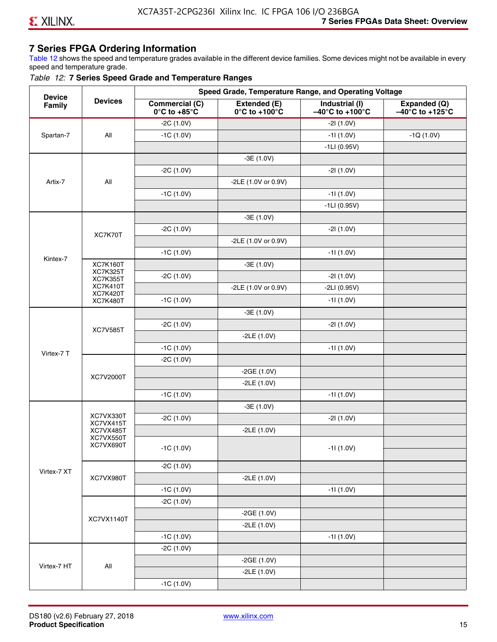### **7 Series FPGA Ordering Information**

Table 12 shows the speed and temperature grades available in the different device families. Some devices might not be available in every speed and temperature grade.

#### *Table 12:* **7 Series Speed Grade and Temperature Ranges**

| <b>Commercial (C)</b><br>Industrial (I)<br>Expanded (Q)<br>Extended (E)<br>Family<br>$0^{\circ}$ C to +100 $^{\circ}$ C<br>$-40^{\circ}$ C to +100 $^{\circ}$ C<br>$-40^{\circ}$ C to +125 $^{\circ}$ C<br>$0^\circ$ C to +85 $^\circ$ C<br>$-2C(1.0V)$<br>$-21(1.0V)$<br>Spartan-7<br>All<br>$-1C(1.0V)$<br>$-11(1.0V)$<br>$-1Q(1.0V)$<br>$-1LI(0.95V)$<br>$-3E(1.0V)$<br>$-2C(1.0V)$<br>$-21(1.0V)$<br>Artix-7<br>All<br>-2LE (1.0V or 0.9V)<br>$-1C(1.0V)$<br>$-11(1.0V)$<br>$-1LI(0.95V)$<br>$-3E(1.0V)$<br>$-2C(1.0V)$<br>$-21(1.0V)$<br>XC7K70T<br>-2LE (1.0V or 0.9V)<br>$-1C(1.0V)$<br>$-11(1.0V)$<br>Kintex-7<br><b>XC7K160T</b><br>$-3E(1.0V)$<br><b>XC7K325T</b><br>$-2C(1.0V)$<br>$-21(1.0V)$<br><b>XC7K355T</b><br><b>XC7K410T</b><br>-2LE (1.0V or 0.9V)<br>$-2LI(0.95V)$<br><b>XC7K420T</b><br>$-1C(1.0V)$<br>$-11(1.0V)$<br><b>XC7K480T</b><br>$-3E(1.0V)$<br>$-2C(1.0V)$<br>$-21(1.0V)$<br><b>XC7V585T</b><br>$-2LE(1.0V)$<br>$-1C(1.0V)$<br>$-11(1.0V)$<br>Virtex-7 T<br>$-2C(1.0V)$<br>$-2GE(1.0V)$<br>XC7V2000T<br>$-2LE(1.0V)$<br>$-1C(1.0V)$<br>$-11(1.0V)$<br>$-3E(1.0V)$<br>XC7VX330T<br>$-2C(1.0V)$<br>$-21(1.0V)$<br>XC7VX415T<br>$-2LE(1.0V)$<br>XC7VX485T<br>XC7VX550T<br>XC7VX690T<br>$-1C(1.0V)$<br>$-11(1.0V)$<br>$-2C(1.0V)$<br>Virtex-7 XT<br>$-2LE(1.0V)$<br>XC7VX980T | <b>Device</b> |                |             | Speed Grade, Temperature Range, and Operating Voltage |  |
|----------------------------------------------------------------------------------------------------------------------------------------------------------------------------------------------------------------------------------------------------------------------------------------------------------------------------------------------------------------------------------------------------------------------------------------------------------------------------------------------------------------------------------------------------------------------------------------------------------------------------------------------------------------------------------------------------------------------------------------------------------------------------------------------------------------------------------------------------------------------------------------------------------------------------------------------------------------------------------------------------------------------------------------------------------------------------------------------------------------------------------------------------------------------------------------------------------------------------------------------------------------------------------------------------------|---------------|----------------|-------------|-------------------------------------------------------|--|
|                                                                                                                                                                                                                                                                                                                                                                                                                                                                                                                                                                                                                                                                                                                                                                                                                                                                                                                                                                                                                                                                                                                                                                                                                                                                                                          |               | <b>Devices</b> |             |                                                       |  |
|                                                                                                                                                                                                                                                                                                                                                                                                                                                                                                                                                                                                                                                                                                                                                                                                                                                                                                                                                                                                                                                                                                                                                                                                                                                                                                          |               |                |             |                                                       |  |
|                                                                                                                                                                                                                                                                                                                                                                                                                                                                                                                                                                                                                                                                                                                                                                                                                                                                                                                                                                                                                                                                                                                                                                                                                                                                                                          |               |                |             |                                                       |  |
|                                                                                                                                                                                                                                                                                                                                                                                                                                                                                                                                                                                                                                                                                                                                                                                                                                                                                                                                                                                                                                                                                                                                                                                                                                                                                                          |               |                |             |                                                       |  |
|                                                                                                                                                                                                                                                                                                                                                                                                                                                                                                                                                                                                                                                                                                                                                                                                                                                                                                                                                                                                                                                                                                                                                                                                                                                                                                          |               |                |             |                                                       |  |
|                                                                                                                                                                                                                                                                                                                                                                                                                                                                                                                                                                                                                                                                                                                                                                                                                                                                                                                                                                                                                                                                                                                                                                                                                                                                                                          |               |                |             |                                                       |  |
|                                                                                                                                                                                                                                                                                                                                                                                                                                                                                                                                                                                                                                                                                                                                                                                                                                                                                                                                                                                                                                                                                                                                                                                                                                                                                                          |               |                |             |                                                       |  |
|                                                                                                                                                                                                                                                                                                                                                                                                                                                                                                                                                                                                                                                                                                                                                                                                                                                                                                                                                                                                                                                                                                                                                                                                                                                                                                          |               |                |             |                                                       |  |
|                                                                                                                                                                                                                                                                                                                                                                                                                                                                                                                                                                                                                                                                                                                                                                                                                                                                                                                                                                                                                                                                                                                                                                                                                                                                                                          |               |                |             |                                                       |  |
|                                                                                                                                                                                                                                                                                                                                                                                                                                                                                                                                                                                                                                                                                                                                                                                                                                                                                                                                                                                                                                                                                                                                                                                                                                                                                                          |               |                |             |                                                       |  |
|                                                                                                                                                                                                                                                                                                                                                                                                                                                                                                                                                                                                                                                                                                                                                                                                                                                                                                                                                                                                                                                                                                                                                                                                                                                                                                          |               |                |             |                                                       |  |
|                                                                                                                                                                                                                                                                                                                                                                                                                                                                                                                                                                                                                                                                                                                                                                                                                                                                                                                                                                                                                                                                                                                                                                                                                                                                                                          |               |                |             |                                                       |  |
|                                                                                                                                                                                                                                                                                                                                                                                                                                                                                                                                                                                                                                                                                                                                                                                                                                                                                                                                                                                                                                                                                                                                                                                                                                                                                                          |               |                |             |                                                       |  |
|                                                                                                                                                                                                                                                                                                                                                                                                                                                                                                                                                                                                                                                                                                                                                                                                                                                                                                                                                                                                                                                                                                                                                                                                                                                                                                          |               |                |             |                                                       |  |
|                                                                                                                                                                                                                                                                                                                                                                                                                                                                                                                                                                                                                                                                                                                                                                                                                                                                                                                                                                                                                                                                                                                                                                                                                                                                                                          |               |                |             |                                                       |  |
|                                                                                                                                                                                                                                                                                                                                                                                                                                                                                                                                                                                                                                                                                                                                                                                                                                                                                                                                                                                                                                                                                                                                                                                                                                                                                                          |               |                |             |                                                       |  |
|                                                                                                                                                                                                                                                                                                                                                                                                                                                                                                                                                                                                                                                                                                                                                                                                                                                                                                                                                                                                                                                                                                                                                                                                                                                                                                          |               |                |             |                                                       |  |
|                                                                                                                                                                                                                                                                                                                                                                                                                                                                                                                                                                                                                                                                                                                                                                                                                                                                                                                                                                                                                                                                                                                                                                                                                                                                                                          |               |                |             |                                                       |  |
|                                                                                                                                                                                                                                                                                                                                                                                                                                                                                                                                                                                                                                                                                                                                                                                                                                                                                                                                                                                                                                                                                                                                                                                                                                                                                                          |               |                |             |                                                       |  |
|                                                                                                                                                                                                                                                                                                                                                                                                                                                                                                                                                                                                                                                                                                                                                                                                                                                                                                                                                                                                                                                                                                                                                                                                                                                                                                          |               |                |             |                                                       |  |
|                                                                                                                                                                                                                                                                                                                                                                                                                                                                                                                                                                                                                                                                                                                                                                                                                                                                                                                                                                                                                                                                                                                                                                                                                                                                                                          |               |                |             |                                                       |  |
|                                                                                                                                                                                                                                                                                                                                                                                                                                                                                                                                                                                                                                                                                                                                                                                                                                                                                                                                                                                                                                                                                                                                                                                                                                                                                                          |               |                |             |                                                       |  |
|                                                                                                                                                                                                                                                                                                                                                                                                                                                                                                                                                                                                                                                                                                                                                                                                                                                                                                                                                                                                                                                                                                                                                                                                                                                                                                          |               |                |             |                                                       |  |
|                                                                                                                                                                                                                                                                                                                                                                                                                                                                                                                                                                                                                                                                                                                                                                                                                                                                                                                                                                                                                                                                                                                                                                                                                                                                                                          |               |                |             |                                                       |  |
|                                                                                                                                                                                                                                                                                                                                                                                                                                                                                                                                                                                                                                                                                                                                                                                                                                                                                                                                                                                                                                                                                                                                                                                                                                                                                                          |               |                |             |                                                       |  |
|                                                                                                                                                                                                                                                                                                                                                                                                                                                                                                                                                                                                                                                                                                                                                                                                                                                                                                                                                                                                                                                                                                                                                                                                                                                                                                          |               |                |             |                                                       |  |
|                                                                                                                                                                                                                                                                                                                                                                                                                                                                                                                                                                                                                                                                                                                                                                                                                                                                                                                                                                                                                                                                                                                                                                                                                                                                                                          |               |                |             |                                                       |  |
|                                                                                                                                                                                                                                                                                                                                                                                                                                                                                                                                                                                                                                                                                                                                                                                                                                                                                                                                                                                                                                                                                                                                                                                                                                                                                                          |               |                |             |                                                       |  |
|                                                                                                                                                                                                                                                                                                                                                                                                                                                                                                                                                                                                                                                                                                                                                                                                                                                                                                                                                                                                                                                                                                                                                                                                                                                                                                          |               |                |             |                                                       |  |
|                                                                                                                                                                                                                                                                                                                                                                                                                                                                                                                                                                                                                                                                                                                                                                                                                                                                                                                                                                                                                                                                                                                                                                                                                                                                                                          |               |                |             |                                                       |  |
|                                                                                                                                                                                                                                                                                                                                                                                                                                                                                                                                                                                                                                                                                                                                                                                                                                                                                                                                                                                                                                                                                                                                                                                                                                                                                                          |               |                |             |                                                       |  |
|                                                                                                                                                                                                                                                                                                                                                                                                                                                                                                                                                                                                                                                                                                                                                                                                                                                                                                                                                                                                                                                                                                                                                                                                                                                                                                          |               |                |             |                                                       |  |
| $-11(1.0V)$                                                                                                                                                                                                                                                                                                                                                                                                                                                                                                                                                                                                                                                                                                                                                                                                                                                                                                                                                                                                                                                                                                                                                                                                                                                                                              |               |                | $-1C(1.0V)$ |                                                       |  |
| $-2C(1.0V)$                                                                                                                                                                                                                                                                                                                                                                                                                                                                                                                                                                                                                                                                                                                                                                                                                                                                                                                                                                                                                                                                                                                                                                                                                                                                                              |               |                |             |                                                       |  |
| $-2GE(1.0V)$                                                                                                                                                                                                                                                                                                                                                                                                                                                                                                                                                                                                                                                                                                                                                                                                                                                                                                                                                                                                                                                                                                                                                                                                                                                                                             |               |                |             |                                                       |  |
| XC7VX1140T<br>$-2LE(1.0V)$                                                                                                                                                                                                                                                                                                                                                                                                                                                                                                                                                                                                                                                                                                                                                                                                                                                                                                                                                                                                                                                                                                                                                                                                                                                                               |               |                |             |                                                       |  |
| $-1C(1.0V)$<br>$-11(1.0V)$                                                                                                                                                                                                                                                                                                                                                                                                                                                                                                                                                                                                                                                                                                                                                                                                                                                                                                                                                                                                                                                                                                                                                                                                                                                                               |               |                |             |                                                       |  |
| $-2C(1.0V)$                                                                                                                                                                                                                                                                                                                                                                                                                                                                                                                                                                                                                                                                                                                                                                                                                                                                                                                                                                                                                                                                                                                                                                                                                                                                                              |               |                |             |                                                       |  |
| $-2GE(1.0V)$                                                                                                                                                                                                                                                                                                                                                                                                                                                                                                                                                                                                                                                                                                                                                                                                                                                                                                                                                                                                                                                                                                                                                                                                                                                                                             |               |                |             |                                                       |  |
| Virtex-7 HT<br>All<br>$-2LE(1.0V)$                                                                                                                                                                                                                                                                                                                                                                                                                                                                                                                                                                                                                                                                                                                                                                                                                                                                                                                                                                                                                                                                                                                                                                                                                                                                       |               |                |             |                                                       |  |
| $-1C(1.0V)$                                                                                                                                                                                                                                                                                                                                                                                                                                                                                                                                                                                                                                                                                                                                                                                                                                                                                                                                                                                                                                                                                                                                                                                                                                                                                              |               |                |             |                                                       |  |

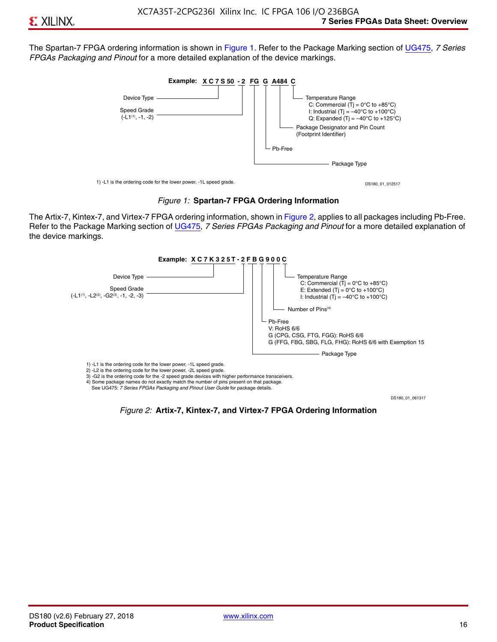The Spartan-7 FPGA ordering information is shown in Figure 1. Refer to the Package Marking section of [UG475,](http://www.xilinx.com/support/documentation/user_guides/ug475_7Series_Pkg_Pinout.pdf) *7 Series FPGAs Packaging and Pinout* for a more detailed explanation of the device markings.





The Artix-7, Kintex-7, and Virtex-7 FPGA ordering information, shown in Figure 2, applies to all packages including Pb-Free. Refer to the Package Marking section of [UG475](http://www.xilinx.com/support/documentation/user_guides/ug475_7Series_Pkg_Pinout.pdf), *7 Series FPGAs Packaging and Pinout* for a more detailed explanation of the device markings.



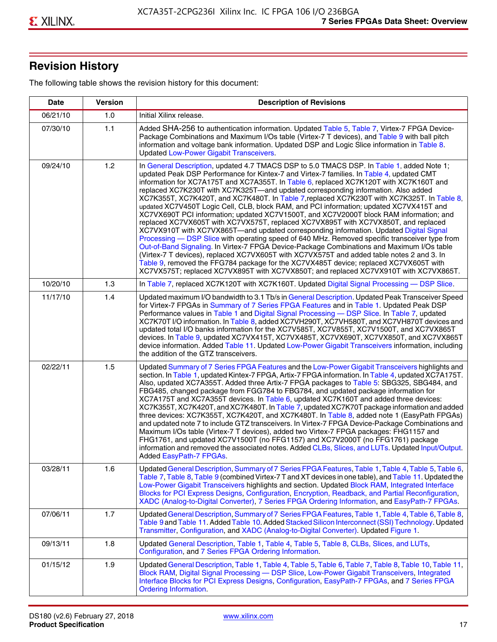## **Revision History**

The following table shows the revision history for this document:

| <b>Date</b> | <b>Version</b> | <b>Description of Revisions</b>                                                                                                                                                                                                                                                                                                                                                                                                                                                                                                                                                                                                                                                                                                                                                                                                                                                                                                                                                                                                                                                                                                                                                                                                                                                                                       |
|-------------|----------------|-----------------------------------------------------------------------------------------------------------------------------------------------------------------------------------------------------------------------------------------------------------------------------------------------------------------------------------------------------------------------------------------------------------------------------------------------------------------------------------------------------------------------------------------------------------------------------------------------------------------------------------------------------------------------------------------------------------------------------------------------------------------------------------------------------------------------------------------------------------------------------------------------------------------------------------------------------------------------------------------------------------------------------------------------------------------------------------------------------------------------------------------------------------------------------------------------------------------------------------------------------------------------------------------------------------------------|
| 06/21/10    | 1.0            | Initial Xilinx release.                                                                                                                                                                                                                                                                                                                                                                                                                                                                                                                                                                                                                                                                                                                                                                                                                                                                                                                                                                                                                                                                                                                                                                                                                                                                                               |
| 07/30/10    | 1.1            | Added SHA-256 to authentication information. Updated Table 5, Table 7, Virtex-7 FPGA Device-<br>Package Combinations and Maximum I/Os table (Virtex-7 T devices), and Table 9 with ball pitch<br>information and voltage bank information. Updated DSP and Logic Slice information in Table 8.<br><b>Updated Low-Power Gigabit Transceivers.</b>                                                                                                                                                                                                                                                                                                                                                                                                                                                                                                                                                                                                                                                                                                                                                                                                                                                                                                                                                                      |
| 09/24/10    | 1.2            | In General Description, updated 4.7 TMACS DSP to 5.0 TMACS DSP. In Table 1, added Note 1;<br>updated Peak DSP Performance for Kintex-7 and Virtex-7 families. In Table 4, updated CMT<br>information for XC7A175T and XC7A355T. In Table 6, replaced XC7K120T with XC7K160T and<br>replaced XC7K230T with XC7K325T-and updated corresponding information. Also added<br>XC7K355T, XC7K420T, and XC7K480T. In Table 7, replaced XC7K230T with XC7K325T. In Table 8,<br>updated XC7V450T Logic Cell, CLB, block RAM, and PCI information; updated XC7VX415T and<br>XC7VX690T PCI information; updated XC7V1500T, and XC7V2000T block RAM information; and<br>replaced XC7VX605T with XC7VX575T, replaced XC7VX895T with XC7VX850T, and replaced<br>XC7VX910T with XC7VX865T-and updated corresponding information. Updated Digital Signal<br>Processing - DSP Slice with operating speed of 640 MHz. Removed specific transceiver type from<br>Out-of-Band Signaling. In Virtex-7 FPGA Device-Package Combinations and Maximum I/Os table<br>(Virtex-7 T devices), replaced XC7VX605T with XC7VX575T and added table notes 2 and 3. In<br>Table 9, removed the FFG784 package for the XC7VX485T device; replaced XC7VX605T with<br>XC7VX575T; replaced XC7VX895T with XC7VX850T; and replaced XC7VX910T with XC7VX865T. |
| 10/20/10    | 1.3            | In Table 7, replaced XC7K120T with XC7K160T. Updated Digital Signal Processing - DSP Slice.                                                                                                                                                                                                                                                                                                                                                                                                                                                                                                                                                                                                                                                                                                                                                                                                                                                                                                                                                                                                                                                                                                                                                                                                                           |
| 11/17/10    | 1.4            | Updated maximum I/O bandwidth to 3.1 Tb/s in General Description. Updated Peak Transceiver Speed<br>for Virtex-7 FPGAs in Summary of 7 Series FPGA Features and in Table 1. Updated Peak DSP<br>Performance values in Table 1 and Digital Signal Processing - DSP Slice. In Table 7, updated<br>XC7K70T I/O information. In Table 8, added XC7VH290T, XC7VH580T, and XC7VH870T devices and<br>updated total I/O banks information for the XC7V585T, XC7V855T, XC7V1500T, and XC7VX865T<br>devices. In Table 9, updated XC7VX415T, XC7VX485T, XC7VX690T, XC7VX850T, and XC7VX865T<br>device information. Added Table 11. Updated Low-Power Gigabit Transceivers information, including<br>the addition of the GTZ transceivers.                                                                                                                                                                                                                                                                                                                                                                                                                                                                                                                                                                                        |
| 02/22/11    | 1.5            | Updated Summary of 7 Series FPGA Features and the Low-Power Gigabit Transceivers highlights and<br>section. In Table 1, updated Kintex-7 FPGA, Artix-7 FPGA information. In Table 4, updated XC7A175T.<br>Also, updated XC7A355T. Added three Artix-7 FPGA packages to Table 5: SBG325, SBG484, and<br>FBG485, changed package from FGG784 to FBG784, and updated package information for<br>XC7A175T and XC7A355T devices. In Table 6, updated XC7K160T and added three devices:<br>XC7K355T, XC7K420T, and XC7K480T. In Table 7, updated XC7K70T package information and added<br>three devices: XC7K355T, XC7K420T, and XC7K480T. In Table 8, added note 1 (EasyPath FPGAs)<br>and updated note 7 to include GTZ transceivers. In Virtex-7 FPGA Device-Package Combinations and<br>Maximum I/Os table (Virtex-7 T devices), added two Virtex-7 FPGA packages: FHG1157 and<br>FHG1761, and updated XC7V1500T (no FFG1157) and XC7V2000T (no FFG1761) package<br>information and removed the associated notes. Added CLBs, Slices, and LUTs. Updated Input/Output.<br>Added EasyPath-7 FPGAs.                                                                                                                                                                                                                        |
| 03/28/11    | 1.6            | Updated General Description, Summary of 7 Series FPGA Features, Table 1, Table 4, Table 5, Table 6,<br>Table 7, Table 8, Table 9 (combined Virtex-7 T and XT devices in one table), and Table 11. Updated the<br>Low-Power Gigabit Transceivers highlights and section. Updated Block RAM, Integrated Interface<br>Blocks for PCI Express Designs, Configuration, Encryption, Readback, and Partial Reconfiguration,<br>XADC (Analog-to-Digital Converter), 7 Series FPGA Ordering Information, and EasyPath-7 FPGAs.                                                                                                                                                                                                                                                                                                                                                                                                                                                                                                                                                                                                                                                                                                                                                                                                 |
| 07/06/11    | 1.7            | Updated General Description, Summary of 7 Series FPGA Features, Table 1, Table 4, Table 6, Table 8,<br>Table 9 and Table 11. Added Table 10. Added Stacked Silicon Interconnect (SSI) Technology. Updated<br>Transmitter, Configuration, and XADC (Analog-to-Digital Converter). Updated Figure 1.                                                                                                                                                                                                                                                                                                                                                                                                                                                                                                                                                                                                                                                                                                                                                                                                                                                                                                                                                                                                                    |
| 09/13/11    | 1.8            | Updated General Description, Table 1, Table 4, Table 5, Table 8, CLBs, Slices, and LUTs,<br>Configuration, and 7 Series FPGA Ordering Information.                                                                                                                                                                                                                                                                                                                                                                                                                                                                                                                                                                                                                                                                                                                                                                                                                                                                                                                                                                                                                                                                                                                                                                    |
| 01/15/12    | 1.9            | Updated General Description, Table 1, Table 4, Table 5, Table 6, Table 7, Table 8, Table 10, Table 11,<br>Block RAM, Digital Signal Processing - DSP Slice, Low-Power Gigabit Transceivers, Integrated<br>Interface Blocks for PCI Express Designs, Configuration, EasyPath-7 FPGAs, and 7 Series FPGA<br><b>Ordering Information.</b>                                                                                                                                                                                                                                                                                                                                                                                                                                                                                                                                                                                                                                                                                                                                                                                                                                                                                                                                                                                |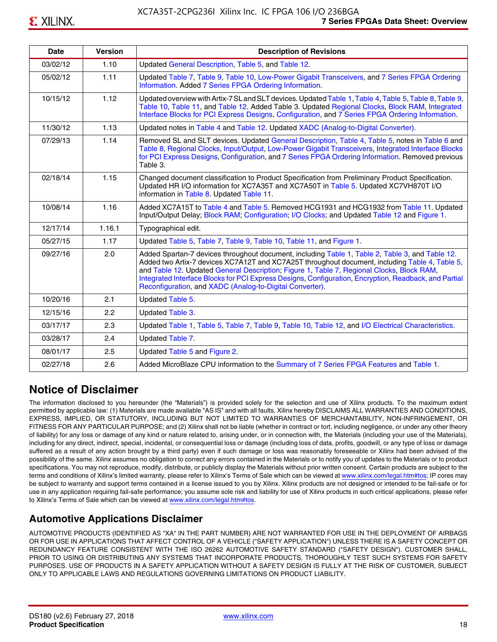| <b>Date</b> | <b>Version</b> | <b>Description of Revisions</b>                                                                                                                                                                                                                                                                                                                                                                                                                                     |
|-------------|----------------|---------------------------------------------------------------------------------------------------------------------------------------------------------------------------------------------------------------------------------------------------------------------------------------------------------------------------------------------------------------------------------------------------------------------------------------------------------------------|
| 03/02/12    | 1.10           | Updated General Description, Table 5, and Table 12.                                                                                                                                                                                                                                                                                                                                                                                                                 |
| 05/02/12    | 1.11           | Updated Table 7, Table 9, Table 10, Low-Power Gigabit Transceivers, and 7 Series FPGA Ordering<br>Information. Added 7 Series FPGA Ordering Information.                                                                                                                                                                                                                                                                                                            |
| 10/15/12    | 1.12           | Updated overview with Artix-7 SL and SLT devices. Updated Table 1, Table 4, Table 5, Table 8, Table 9,<br>Table 10, Table 11, and Table 12. Added Table 3. Updated Regional Clocks, Block RAM, Integrated<br>Interface Blocks for PCI Express Designs, Configuration, and 7 Series FPGA Ordering Information.                                                                                                                                                       |
| 11/30/12    | 1.13           | Updated notes in Table 4 and Table 12. Updated XADC (Analog-to-Digital Converter).                                                                                                                                                                                                                                                                                                                                                                                  |
| 07/29/13    | 1.14           | Removed SL and SLT devices. Updated General Description, Table 4, Table 5, notes in Table 6 and<br>Table 8, Regional Clocks, Input/Output, Low-Power Gigabit Transceivers, Integrated Interface Blocks<br>for PCI Express Designs, Configuration, and 7 Series FPGA Ordering Information. Removed previous<br>Table 3.                                                                                                                                              |
| 02/18/14    | 1.15           | Changed document classification to Product Specification from Preliminary Product Specification.<br>Updated HR I/O information for XC7A35T and XC7A50T in Table 5. Updated XC7VH870T I/O<br>information in Table 8. Updated Table 11.                                                                                                                                                                                                                               |
| 10/08/14    | 1.16           | Added XC7A15T to Table 4 and Table 5. Removed HCG1931 and HCG1932 from Table 11. Updated<br>Input/Output Delay; Block RAM; Configuration; I/O Clocks; and Updated Table 12 and Figure 1.                                                                                                                                                                                                                                                                            |
| 12/17/14    | 1.16.1         | Typographical edit.                                                                                                                                                                                                                                                                                                                                                                                                                                                 |
| 05/27/15    | 1.17           | Updated Table 5, Table 7, Table 9, Table 10, Table 11, and Figure 1.                                                                                                                                                                                                                                                                                                                                                                                                |
| 09/27/16    | 2.0            | Added Spartan-7 devices throughout document, including Table 1, Table 2, Table 3, and Table 12.<br>Added two Artix-7 devices XC7A12T and XC7A25T throughout document, including Table 4, Table 5,<br>and Table 12. Updated General Description; Figure 1, Table 7, Regional Clocks, Block RAM,<br>Integrated Interface Blocks for PCI Express Designs, Configuration, Encryption, Readback, and Partial<br>Reconfiguration, and XADC (Analog-to-Digital Converter). |
| 10/20/16    | 2.1            | Updated Table 5.                                                                                                                                                                                                                                                                                                                                                                                                                                                    |
| 12/15/16    | 2.2            | Updated Table 3.                                                                                                                                                                                                                                                                                                                                                                                                                                                    |
| 03/17/17    | 2.3            | Updated Table 1, Table 5, Table 7, Table 9, Table 10, Table 12, and I/O Electrical Characteristics.                                                                                                                                                                                                                                                                                                                                                                 |
| 03/28/17    | 2.4            | Updated Table 7.                                                                                                                                                                                                                                                                                                                                                                                                                                                    |
| 08/01/17    | 2.5            | Updated Table 5 and Figure 2.                                                                                                                                                                                                                                                                                                                                                                                                                                       |
| 02/27/18    | 2.6            | Added MicroBlaze CPU information to the Summary of 7 Series FPGA Features and Table 1.                                                                                                                                                                                                                                                                                                                                                                              |

### **Notice of Disclaimer**

The information disclosed to you hereunder (the "Materials") is provided solely for the selection and use of Xilinx products. To the maximum extent permitted by applicable law: (1) Materials are made available "AS IS" and with all faults, Xilinx hereby DISCLAIMS ALL WARRANTIES AND CONDITIONS, EXPRESS, IMPLIED, OR STATUTORY, INCLUDING BUT NOT LIMITED TO WARRANTIES OF MERCHANTABILITY, NON-INFRINGEMENT, OR FITNESS FOR ANY PARTICULAR PURPOSE; and (2) Xilinx shall not be liable (whether in contract or tort, including negligence, or under any other theory of liability) for any loss or damage of any kind or nature related to, arising under, or in connection with, the Materials (including your use of the Materials), including for any direct, indirect, special, incidental, or consequential loss or damage (including loss of data, profits, goodwill, or any type of loss or damage suffered as a result of any action brought by a third party) even if such damage or loss was reasonably foreseeable or Xilinx had been advised of the possibility of the same. Xilinx assumes no obligation to correct any errors contained in the Materials or to notify you of updates to the Materials or to product specifications. You may not reproduce, modify, distribute, or publicly display the Materials without prior written consent. Certain products are subject to the terms and conditions of Xilinx's limited warranty, please refer to Xilinx's Terms of Sale which can be viewed at [www.xilinx.com/legal.htm#tos;](www.xilinx.com/legal.htm#tos) IP cores may be subject to warranty and support terms contained in a license issued to you by Xilinx. Xilinx products are not designed or intended to be fail-safe or for use in any application requiring fail-safe performance; you assume sole risk and liability for use of Xilinx products in such critical applications, please refer to Xilinx's Terms of Sale which can be viewed at <www.xilinx.com/legal.htm#tos>.

#### **Automotive Applications Disclaimer**

AUTOMOTIVE PRODUCTS (IDENTIFIED AS "XA" IN THE PART NUMBER) ARE NOT WARRANTED FOR USE IN THE DEPLOYMENT OF AIRBAGS OR FOR USE IN APPLICATIONS THAT AFFECT CONTROL OF A VEHICLE ("SAFETY APPLICATION") UNLESS THERE IS A SAFETY CONCEPT OR REDUNDANCY FEATURE CONSISTENT WITH THE ISO 26262 AUTOMOTIVE SAFETY STANDARD ("SAFETY DESIGN"). CUSTOMER SHALL, PRIOR TO USING OR DISTRIBUTING ANY SYSTEMS THAT INCORPORATE PRODUCTS, THOROUGHLY TEST SUCH SYSTEMS FOR SAFETY PURPOSES. USE OF PRODUCTS IN A SAFETY APPLICATION WITHOUT A SAFETY DESIGN IS FULLY AT THE RISK OF CUSTOMER, SUBJECT ONLY TO APPLICABLE LAWS AND REGULATIONS GOVERNING LIMITATIONS ON PRODUCT LIABILITY.